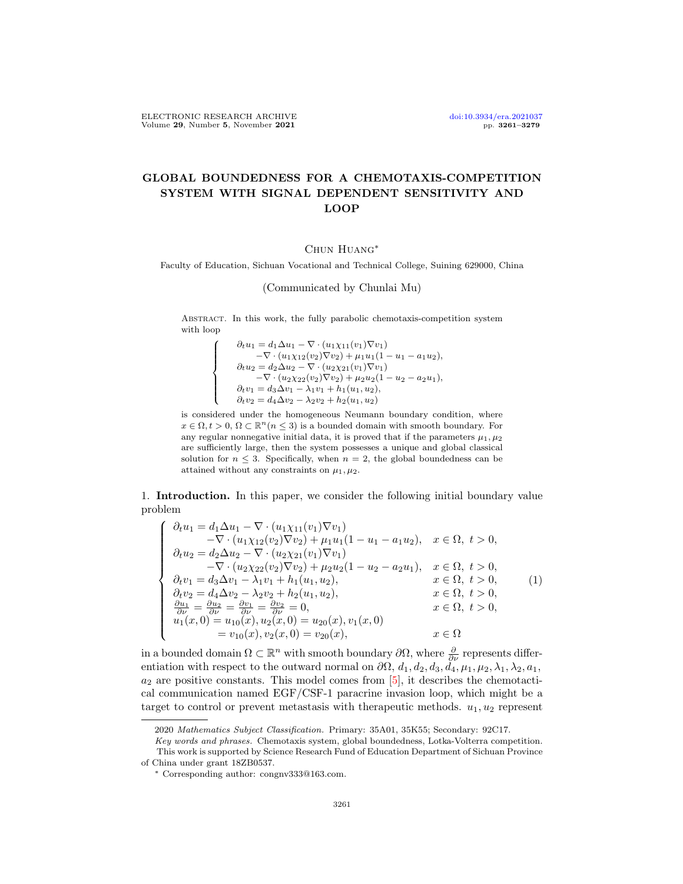$\sqrt{ }$  $\int$ 

 $\overline{\mathcal{L}}$ 

## GLOBAL BOUNDEDNESS FOR A CHEMOTAXIS-COMPETITION SYSTEM WITH SIGNAL DEPENDENT SENSITIVITY AND LOOP

## Chun Huang∗

Faculty of Education, Sichuan Vocational and Technical College, Suining 629000, China

(Communicated by Chunlai Mu)

Abstract. In this work, the fully parabolic chemotaxis-competition system with loop

> $\partial_t u_1 = d_1 \Delta u_1 - \nabla \cdot (u_1 \chi_{11}(v_1) \nabla v_1)$  $-\nabla \cdot (u_1 \chi_{12}(v_2) \nabla v_2) + \mu_1 u_1 (1 - u_1 - a_1 u_2),$  $\partial_t u_2 = d_2 \Delta u_2 - \nabla \cdot (u_2 \chi_{21}(v_1) \nabla v_1)$  $-\nabla \cdot (u_2 \chi_{22}(v_2) \nabla v_2) + \mu_2 u_2 (1 - u_2 - a_2 u_1),$  $\partial_t v_1 = d_3 \Delta v_1 - \lambda_1 v_1 + h_1(u_1, u_2),$  $\partial_t v_2 = d_4 \Delta v_2 - \lambda_2 v_2 + h_2(u_1, u_2)$

is considered under the homogeneous Neumann boundary condition, where  $x\in \Omega, t>0,$   $\Omega\subset \mathbb{R}^n (n\leq 3)$  is a bounded domain with smooth boundary. For any regular nonnegative initial data, it is proved that if the parameters  $\mu_1, \mu_2$ are sufficiently large, then the system possesses a unique and global classical solution for  $n \leq 3$ . Specifically, when  $n = 2$ , the global boundedness can be attained without any constraints on  $\mu_1, \mu_2$ .

1. Introduction. In this paper, we consider the following initial boundary value problem

<span id="page-0-0"></span>
$$
\begin{cases}\n\partial_t u_1 = d_1 \Delta u_1 - \nabla \cdot (u_1 \chi_{11}(v_1) \nabla v_1) \\
-\nabla \cdot (u_1 \chi_{12}(v_2) \nabla v_2) + \mu_1 u_1 (1 - u_1 - a_1 u_2), & x \in \Omega, \ t > 0, \\
\partial_t u_2 = d_2 \Delta u_2 - \nabla \cdot (u_2 \chi_{21}(v_1) \nabla v_1) \\
-\nabla \cdot (u_2 \chi_{22}(v_2) \nabla v_2) + \mu_2 u_2 (1 - u_2 - a_2 u_1), & x \in \Omega, \ t > 0, \\
\partial_t v_1 = d_3 \Delta v_1 - \lambda_1 v_1 + h_1 (u_1, u_2), & x \in \Omega, \ t > 0, \\
\partial_t v_2 = d_4 \Delta v_2 - \lambda_2 v_2 + h_2 (u_1, u_2), & x \in \Omega, \ t > 0, \\
\frac{\partial u_1}{\partial \nu} = \frac{\partial u_2}{\partial \nu} = \frac{\partial v_1}{\partial \nu} = \frac{\partial v_2}{\partial \nu} = 0, & x \in \Omega, \ t > 0, \\
u_1(x, 0) = u_{10}(x), u_2(x, 0) = u_{20}(x), v_1(x, 0) \\
= v_{10}(x), v_2(x, 0) = v_{20}(x), & x \in \Omega\n\end{cases}
$$
\n
$$
(1)
$$

in a bounded domain  $\Omega \subset \mathbb{R}^n$  with smooth boundary  $\partial\Omega$ , where  $\frac{\partial}{\partial\nu}$  represents differentiation with respect to the outward normal on  $\partial\Omega$ ,  $d_1, d_2, d_3, d_4, \mu_1, \mu_2, \lambda_1, \lambda_2, a_1$ ,  $a_2$  are positive constants. This model comes from [\[5\]](#page-17-0), it describes the chemotactical communication named EGF/CSF-1 paracrine invasion loop, which might be a target to control or prevent metastasis with the rapeutic methods.  $u_1, u_2$  represent

<sup>2020</sup> Mathematics Subject Classification. Primary: 35A01, 35K55; Secondary: 92C17.

Key words and phrases. Chemotaxis system, global boundedness, Lotka-Volterra competition. This work is supported by Science Research Fund of Education Department of Sichuan Province of China under grant 18ZB0537.

<sup>∗</sup> Corresponding author: congnv333@163.com.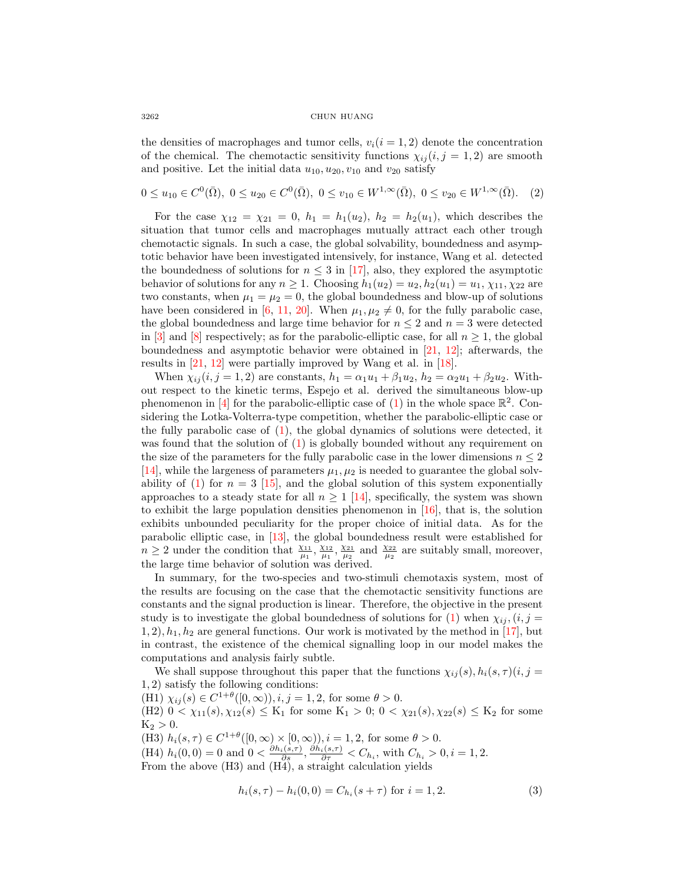the densities of macrophages and tumor cells,  $v_i(i = 1, 2)$  denote the concentration of the chemical. The chemotactic sensitivity functions  $\chi_{ii} (i, j = 1, 2)$  are smooth and positive. Let the initial data  $u_{10}, u_{20}, v_{10}$  and  $v_{20}$  satisfy

<span id="page-1-0"></span>
$$
0 \le u_{10} \in C^0(\bar{\Omega}), \ 0 \le u_{20} \in C^0(\bar{\Omega}), \ 0 \le v_{10} \in W^{1,\infty}(\bar{\Omega}), \ 0 \le v_{20} \in W^{1,\infty}(\bar{\Omega}). \tag{2}
$$

For the case  $\chi_{12} = \chi_{21} = 0$ ,  $h_1 = h_1(u_2)$ ,  $h_2 = h_2(u_1)$ , which describes the situation that tumor cells and macrophages mutually attract each other trough chemotactic signals. In such a case, the global solvability, boundedness and asymptotic behavior have been investigated intensively, for instance, Wang et al. detected the boundedness of solutions for  $n \leq 3$  in [\[17\]](#page-17-1), also, they explored the asymptotic behavior of solutions for any  $n \geq 1$ . Choosing  $h_1(u_2) = u_2, h_2(u_1) = u_1, \chi_{11}, \chi_{22}$  are two constants, when  $\mu_1 = \mu_2 = 0$ , the global boundedness and blow-up of solutions have been considered in [\[6,](#page-17-2) [11,](#page-17-3) [20\]](#page-17-4). When  $\mu_1, \mu_2 \neq 0$ , for the fully parabolic case, the global boundedness and large time behavior for  $n \leq 2$  and  $n = 3$  were detected in [\[3\]](#page-17-5) and [\[8\]](#page-17-6) respectively; as for the parabolic-elliptic case, for all  $n \geq 1$ , the global boundedness and asymptotic behavior were obtained in [\[21,](#page-18-0) [12\]](#page-17-7); afterwards, the results in [\[21,](#page-18-0) [12\]](#page-17-7) were partially improved by Wang et al. in [\[18\]](#page-17-8).

When  $\chi_{ij}(i, j = 1, 2)$  are constants,  $h_1 = \alpha_1 u_1 + \beta_1 u_2$ ,  $h_2 = \alpha_2 u_1 + \beta_2 u_2$ . Without respect to the kinetic terms, Espejo et al. derived the simultaneous blow-up phenomenon in [\[4\]](#page-17-9) for the parabolic-elliptic case of [\(1\)](#page-0-0) in the whole space  $\mathbb{R}^2$ . Considering the Lotka-Volterra-type competition, whether the parabolic-elliptic case or the fully parabolic case of  $(1)$ , the global dynamics of solutions were detected, it was found that the solution of [\(1\)](#page-0-0) is globally bounded without any requirement on the size of the parameters for the fully parabolic case in the lower dimensions  $n \leq 2$ [\[14\]](#page-17-10), while the largeness of parameters  $\mu_1, \mu_2$  is needed to guarantee the global solv-ability of [\(1\)](#page-0-0) for  $n = 3$  [\[15\]](#page-17-11), and the global solution of this system exponentially approaches to a steady state for all  $n \geq 1$  [\[14\]](#page-17-10), specifically, the system was shown to exhibit the large population densities phenomenon in [\[16\]](#page-17-12), that is, the solution exhibits unbounded peculiarity for the proper choice of initial data. As for the parabolic elliptic case, in [\[13\]](#page-17-13), the global boundedness result were established for  $n \geq 2$  under the condition that  $\frac{\chi_{11}}{\mu_1}, \frac{\chi_{12}}{\mu_1}, \frac{\chi_{21}}{\mu_2}$  and  $\frac{\chi_{22}}{\mu_2}$  are suitably small, moreover, the large time behavior of solution was derived.

In summary, for the two-species and two-stimuli chemotaxis system, most of the results are focusing on the case that the chemotactic sensitivity functions are constants and the signal production is linear. Therefore, the objective in the present study is to investigate the global boundedness of solutions for [\(1\)](#page-0-0) when  $\chi_{ii}$ ,  $(i, j =$  $1, 2$ ,  $h_1, h_2$  are general functions. Our work is motivated by the method in [\[17\]](#page-17-1), but in contrast, the existence of the chemical signalling loop in our model makes the computations and analysis fairly subtle.

We shall suppose throughout this paper that the functions  $\chi_{ij}(s)$ ,  $h_i(s,\tau)(i, j =$ 1, 2) satisfy the following conditions:

(H1)  $\chi_{ij}(s) \in C^{1+\theta}([0,\infty)), i, j = 1, 2$ , for some  $\theta > 0$ .  $(H2)$   $0 < \chi_{11}(s), \chi_{12}(s) \leq K_1$  for some  $K_1 > 0$ ;  $0 < \chi_{21}(s), \chi_{22}(s) \leq K_2$  for some  $K_2 > 0.$ (H3)  $h_i(s,\tau) \in C^{1+\theta}([0,\infty) \times [0,\infty))$ ,  $i = 1,2$ , for some  $\theta > 0$ .

(H4)  $h_i(0,0) = 0$  and  $0 < \frac{\partial h_i(s,\tau)}{\partial s}, \frac{\partial h_i(s,\tau)}{\partial \tau} < C_{h_i}$ , with  $C_{h_i} > 0, i = 1, 2$ . From the above (H3) and (H4), a straight calculation yields

$$
h_i(s,\tau) - h_i(0,0) = C_{h_i}(s+\tau) \text{ for } i = 1,2.
$$
 (3)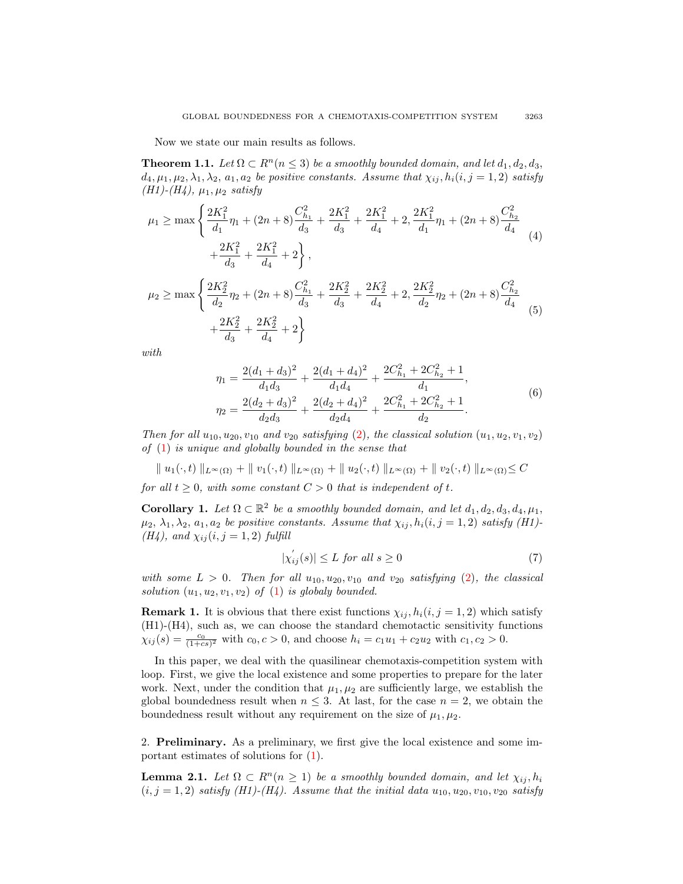Now we state our main results as follows.

<span id="page-2-4"></span>**Theorem 1.1.** Let  $\Omega \subset \mathbb{R}^n$  ( $n \leq 3$ ) be a smoothly bounded domain, and let  $d_1, d_2, d_3$ ,  $d_4, \mu_1, \mu_2, \lambda_1, \lambda_2, a_1, a_2$  be positive constants. Assume that  $\chi_{ij}, h_i(i, j = 1, 2)$  satisfy (*H1*)-(*H4*),  $\mu_1, \mu_2$  satisfy

<span id="page-2-2"></span>
$$
\mu_1 \ge \max \left\{ \frac{2K_1^2}{d_1} \eta_1 + (2n+8) \frac{C_{h_1}^2}{d_3} + \frac{2K_1^2}{d_3} + \frac{2K_1^2}{d_4} + 2, \frac{2K_1^2}{d_1} \eta_1 + (2n+8) \frac{C_{h_2}^2}{d_4} \right. \\ \left. + \frac{2K_1^2}{d_3} + \frac{2K_1^2}{d_4} + 2 \right\},
$$
\n
$$
\mu_2 \ge \max \left\{ \frac{2K_2^2}{d_2} \eta_2 + (2n+8) \frac{C_{h_1}^2}{d_3} + \frac{2K_2^2}{d_3} + \frac{2K_2^2}{d_4} + 2, \frac{2K_2^2}{d_2} \eta_2 + (2n+8) \frac{C_{h_2}^2}{d_4} \right. \\ \left. + \frac{2K_2^2}{d_3} + \frac{2K_2^2}{d_4} + 2 \right\}
$$
\n
$$
(5)
$$

<span id="page-2-3"></span>with

$$
\eta_1 = \frac{2(d_1 + d_3)^2}{d_1 d_3} + \frac{2(d_1 + d_4)^2}{d_1 d_4} + \frac{2C_{h_1}^2 + 2C_{h_2}^2 + 1}{d_1},
$$
\n
$$
\eta_2 = \frac{2(d_2 + d_3)^2}{d_2 d_3} + \frac{2(d_2 + d_4)^2}{d_2 d_4} + \frac{2C_{h_1}^2 + 2C_{h_2}^2 + 1}{d_2}.
$$
\n(6)

Then for all  $u_{10}, u_{20}, v_{10}$  and  $v_{20}$  satisfying [\(2\)](#page-1-0), the classical solution  $(u_1, u_2, v_1, v_2)$ of [\(1\)](#page-0-0) is unique and globally bounded in the sense that

$$
\| u_1(\cdot,t) \|_{L^{\infty}(\Omega)} + \| v_1(\cdot,t) \|_{L^{\infty}(\Omega)} + \| u_2(\cdot,t) \|_{L^{\infty}(\Omega)} + \| v_2(\cdot,t) \|_{L^{\infty}(\Omega)} \leq C
$$

for all  $t \geq 0$ , with some constant  $C > 0$  that is independent of t.

<span id="page-2-1"></span>**Corollary 1.** Let  $\Omega \subset \mathbb{R}^2$  be a smoothly bounded domain, and let  $d_1, d_2, d_3, d_4, \mu_1$ ,  $\mu_2, \lambda_1, \lambda_2, a_1, a_2$  be positive constants. Assume that  $\chi_{ij}, h_i(i, j = 1, 2)$  satisfy (H1)- $(H_4)$ , and  $\chi_{ij} (i, j = 1, 2)$  fulfill

$$
|\chi_{ij}'(s)| \le L \text{ for all } s \ge 0 \tag{7}
$$

with some  $L > 0$ . Then for all  $u_{10}, u_{20}, v_{10}$  and  $v_{20}$  satisfying [\(2\)](#page-1-0), the classical solution  $(u_1, u_2, v_1, v_2)$  of [\(1\)](#page-0-0) is globaly bounded.

**Remark 1.** It is obvious that there exist functions  $\chi_{ij}$ ,  $h_i(i, j = 1, 2)$  which satisfy (H1)-(H4), such as, we can choose the standard chemotactic sensitivity functions  $\chi_{ij}(s) = \frac{c_0}{(1+cs)^2}$  with  $c_0, c > 0$ , and choose  $h_i = c_1u_1 + c_2u_2$  with  $c_1, c_2 > 0$ .

In this paper, we deal with the quasilinear chemotaxis-competition system with loop. First, we give the local existence and some properties to prepare for the later work. Next, under the condition that  $\mu_1, \mu_2$  are sufficiently large, we establish the global boundedness result when  $n \leq 3$ . At last, for the case  $n = 2$ , we obtain the boundedness result without any requirement on the size of  $\mu_1, \mu_2$ .

2. Preliminary. As a preliminary, we first give the local existence and some important estimates of solutions for [\(1\)](#page-0-0).

<span id="page-2-0"></span>**Lemma 2.1.** Let  $\Omega \subset R^n (n \geq 1)$  be a smoothly bounded domain, and let  $\chi_{ij}, h_i$  $(i, j = 1, 2)$  satisfy (H1)-(H4). Assume that the initial data  $u_{10}, u_{20}, v_{10}, v_{20}$  satisfy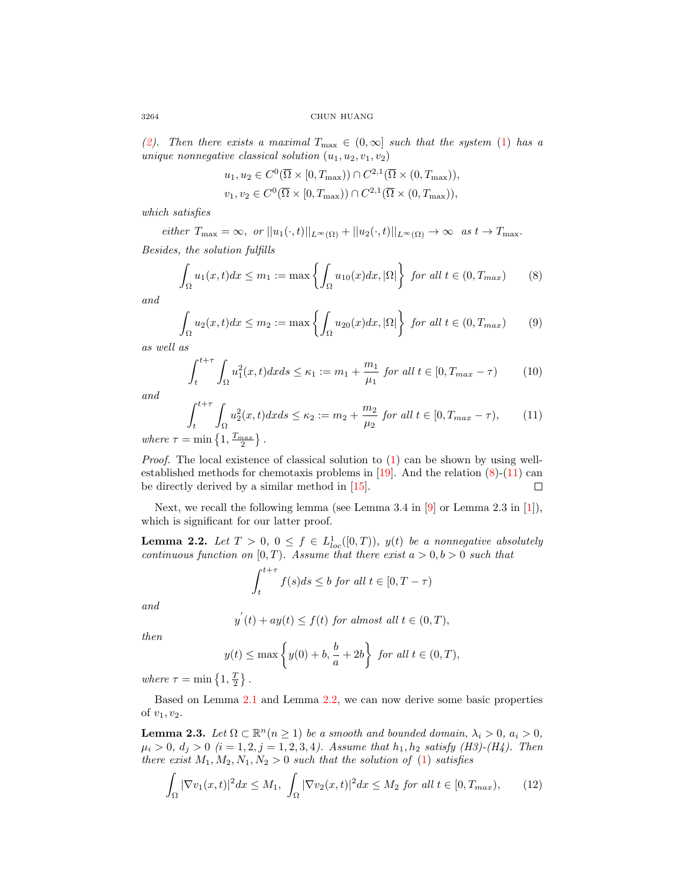[\(2\)](#page-1-0). Then there exists a maximal  $T_{\text{max}} \in (0,\infty]$  such that the system [\(1\)](#page-0-0) has a unique nonnegative classical solution  $(u_1, u_2, v_1, v_2)$ 

$$
u_1, u_2 \in C^0(\overline{\Omega} \times [0, T_{\max})) \cap C^{2,1}(\overline{\Omega} \times (0, T_{\max})),
$$
  

$$
v_1, v_2 \in C^0(\overline{\Omega} \times [0, T_{\max})) \cap C^{2,1}(\overline{\Omega} \times (0, T_{\max})),
$$

which satisfies

either  $T_{\max} = \infty$ , or  $||u_1(\cdot, t)||_{L^{\infty}(\Omega)} + ||u_2(\cdot, t)||_{L^{\infty}(\Omega)} \to \infty$  as  $t \to T_{\max}$ .

Besides, the solution fulfills

<span id="page-3-0"></span>
$$
\int_{\Omega} u_1(x,t)dx \le m_1 := \max\left\{ \int_{\Omega} u_{10}(x)dx, |\Omega| \right\} \text{ for all } t \in (0, T_{max}) \tag{8}
$$

and

$$
\int_{\Omega} u_2(x,t)dx \le m_2 := \max\left\{ \int_{\Omega} u_{20}(x)dx, |\Omega| \right\} \text{ for all } t \in (0, T_{max}) \tag{9}
$$

as well as

Z

<span id="page-3-5"></span>
$$
\int_{t}^{t+\tau} \int_{\Omega} u_1^2(x,t)dx ds \le \kappa_1 := m_1 + \frac{m_1}{\mu_1} \text{ for all } t \in [0, T_{\max} - \tau)
$$
 (10)

and

<span id="page-3-1"></span>
$$
\int_{t}^{t+\tau} \int_{\Omega} u_2^2(x, t) dx ds \le \kappa_2 := m_2 + \frac{m_2}{\mu_2} \text{ for all } t \in [0, T_{\max} - \tau), \qquad (11)
$$

where  $\tau = \min\left\{1, \frac{T_{max}}{2}\right\}$ .

*Proof.* The local existence of classical solution to  $(1)$  can be shown by using well-established methods for chemotaxis problems in [\[19\]](#page-17-14). And the relation  $(8)-(11)$  $(8)-(11)$  $(8)-(11)$  can be directly derived by a similar method in [\[15\]](#page-17-11).  $\Box$ 

Next, we recall the following lemma (see Lemma 3.4 in [\[9\]](#page-17-15) or Lemma 2.3 in [\[1\]](#page-17-16)), which is significant for our latter proof.

<span id="page-3-2"></span>**Lemma 2.2.** Let  $T > 0$ ,  $0 \le f \in L^1_{loc}([0, T))$ ,  $y(t)$  be a nonnegative absolutely continuous function on  $[0, T)$ . Assume that there exist  $a > 0, b > 0$  such that

$$
\int_{t}^{t+\tau} f(s)ds \le b \text{ for all } t \in [0, T - \tau)
$$

and

$$
y^{'}(t) + ay(t) \le f(t) \text{ for almost all } t \in (0, T),
$$

then

$$
y(t) \le \max\left\{y(0) + b, \frac{b}{a} + 2b\right\} \text{ for all } t \in (0, T),
$$

where  $\tau = \min\left\{1, \frac{T}{2}\right\}$ .

Based on Lemma [2.1](#page-2-0) and Lemma [2.2,](#page-3-2) we can now derive some basic properties of  $v_1, v_2$ .

<span id="page-3-4"></span>**Lemma 2.3.** Let  $\Omega \subset \mathbb{R}^n (n \geq 1)$  be a smooth and bounded domain,  $\lambda_i > 0$ ,  $a_i > 0$ ,  $\mu_i > 0, d_j > 0$  (i = 1, 2, j = 1, 2, 3, 4). Assume that  $h_1, h_2$  satisfy (H3)-(H4). Then there exist  $M_1, M_2, N_1, N_2 > 0$  such that the solution of [\(1\)](#page-0-0) satisfies

<span id="page-3-3"></span>
$$
\int_{\Omega} |\nabla v_1(x,t)|^2 dx \le M_1, \int_{\Omega} |\nabla v_2(x,t)|^2 dx \le M_2 \text{ for all } t \in [0, T_{max}), \qquad (12)
$$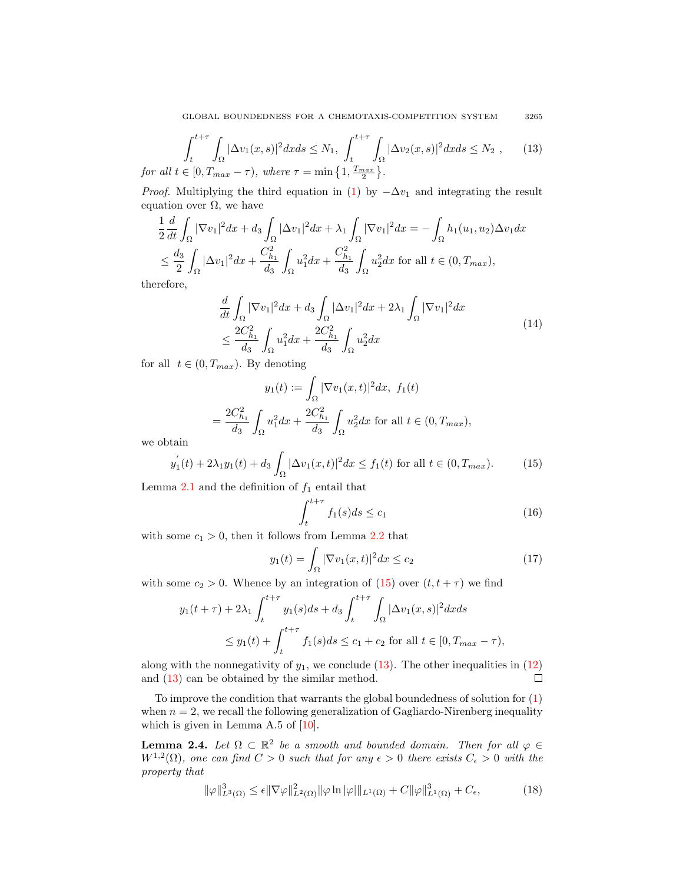<span id="page-4-1"></span>GLOBAL BOUNDEDNESS FOR A CHEMOTAXIS-COMPETITION SYSTEM 3265

$$
\int_{t}^{t+\tau} \int_{\Omega} |\Delta v_{1}(x,s)|^{2} dx ds \leq N_{1}, \int_{t}^{t+\tau} \int_{\Omega} |\Delta v_{2}(x,s)|^{2} dx ds \leq N_{2}, \qquad (13)
$$
  
for all  $t \in [0, T_{max} - \tau)$ , where  $\tau = \min\left\{1, \frac{T_{max}}{2}\right\}.$ 

*Proof.* Multiplying the third equation in [\(1\)](#page-0-0) by  $-\Delta v_1$  and integrating the result equation over  $\Omega$ , we have

$$
\frac{1}{2}\frac{d}{dt}\int_{\Omega}|\nabla v_1|^2 dx + d_3 \int_{\Omega} |\Delta v_1|^2 dx + \lambda_1 \int_{\Omega} |\nabla v_1|^2 dx = -\int_{\Omega} h_1(u_1, u_2) \Delta v_1 dx
$$
  
\n
$$
\leq \frac{d_3}{2} \int_{\Omega} |\Delta v_1|^2 dx + \frac{C_{h_1}^2}{d_3} \int_{\Omega} u_1^2 dx + \frac{C_{h_1}^2}{d_3} \int_{\Omega} u_2^2 dx \text{ for all } t \in (0, T_{max}),
$$

therefore,

$$
\frac{d}{dt} \int_{\Omega} |\nabla v_1|^2 dx + d_3 \int_{\Omega} |\Delta v_1|^2 dx + 2\lambda_1 \int_{\Omega} |\nabla v_1|^2 dx
$$
\n
$$
\leq \frac{2C_{h_1}^2}{d_3} \int_{\Omega} u_1^2 dx + \frac{2C_{h_1}^2}{d_3} \int_{\Omega} u_2^2 dx
$$
\n(14)

for all  $t \in (0, T_{max})$ . By denoting

$$
y_1(t) := \int_{\Omega} |\nabla v_1(x, t)|^2 dx, f_1(t)
$$
  
= 
$$
\frac{2C_{h_1}^2}{d_3} \int_{\Omega} u_1^2 dx + \frac{2C_{h_1}^2}{d_3} \int_{\Omega} u_2^2 dx
$$
 for all  $t \in (0, T_{max}),$ 

we obtain

<span id="page-4-0"></span>
$$
y_1'(t) + 2\lambda_1 y_1(t) + d_3 \int_{\Omega} |\Delta v_1(x, t)|^2 dx \le f_1(t) \text{ for all } t \in (0, T_{max}).
$$
 (15)

Lemma [2.1](#page-2-0) and the definition of  $f_1$  entail that

$$
\int_{t}^{t+\tau} f_1(s)ds \le c_1 \tag{16}
$$

with some  $c_1 > 0$ , then it follows from Lemma [2.2](#page-3-2) that

$$
y_1(t) = \int_{\Omega} |\nabla v_1(x, t)|^2 dx \le c_2 \tag{17}
$$

with some  $c_2 > 0$ . Whence by an integration of  $(15)$  over  $(t, t + \tau)$  we find

$$
y_1(t+\tau) + 2\lambda_1 \int_t^{t+\tau} y_1(s)ds + d_3 \int_t^{t+\tau} \int_{\Omega} |\Delta v_1(x,s)|^2 dx ds
$$
  
 
$$
\leq y_1(t) + \int_t^{t+\tau} f_1(s)ds \leq c_1 + c_2 \text{ for all } t \in [0, T_{max} - \tau),
$$

along with the nonnegativity of  $y_1$ , we conclude [\(13\)](#page-4-1). The other inequalities in [\(12\)](#page-3-3) and [\(13\)](#page-4-1) can be obtained by the similar method.  $\Box$ 

To improve the condition that warrants the global boundedness of solution for [\(1\)](#page-0-0) when  $n = 2$ , we recall the following generalization of Gagliardo-Nirenberg inequality which is given in Lemma A.5 of  $[10]$ .

**Lemma 2.4.** Let  $\Omega \subset \mathbb{R}^2$  be a smooth and bounded domain. Then for all  $\varphi \in$  $W^{1,2}(\Omega)$ , one can find  $C > 0$  such that for any  $\epsilon > 0$  there exists  $C_{\epsilon} > 0$  with the property that

<span id="page-4-2"></span>
$$
\|\varphi\|_{L^3(\Omega)}^3 \leq \epsilon \|\nabla \varphi\|_{L^2(\Omega)}^2 \|\varphi\ln|\varphi|\|_{L^1(\Omega)} + C \|\varphi\|_{L^1(\Omega)}^3 + C_{\epsilon},\tag{18}
$$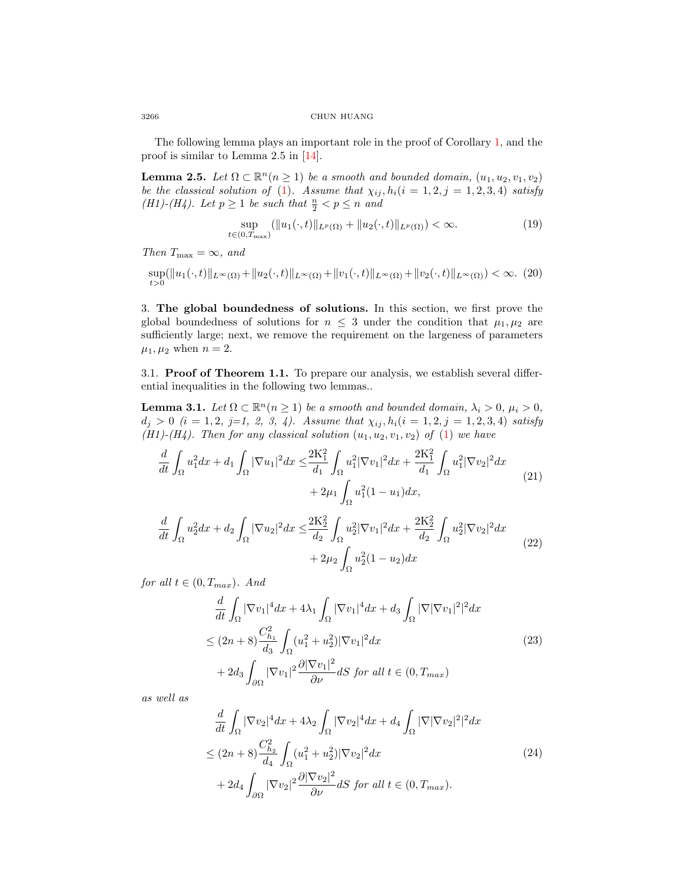The following lemma plays an important role in the proof of Corollary [1,](#page-2-1) and the proof is similar to Lemma 2.5 in [\[14\]](#page-17-10).

<span id="page-5-5"></span>**Lemma 2.5.** Let  $\Omega \subset \mathbb{R}^n (n \geq 1)$  be a smooth and bounded domain,  $(u_1, u_2, v_1, v_2)$ be the classical solution of [\(1\)](#page-0-0). Assume that  $\chi_{ij}, h_i(i = 1, 2, j = 1, 2, 3, 4)$  satisfy (H1)-(H4). Let  $p \geq 1$  be such that  $\frac{n}{2} < p \leq n$  and

$$
\sup_{t \in (0,T_{\max})} (\|u_1(\cdot,t)\|_{L^p(\Omega)} + \|u_2(\cdot,t)\|_{L^p(\Omega)}) < \infty.
$$
 (19)

Then  $T_{\text{max}} = \infty$ , and

 $\sup_{t>0} (\|u_1(\cdot,t)\|_{L^{\infty}(\Omega)} + \|u_2(\cdot,t)\|_{L^{\infty}(\Omega)} + \|v_1(\cdot,t)\|_{L^{\infty}(\Omega)} + \|v_2(\cdot,t)\|_{L^{\infty}(\Omega)}) < \infty.$  (20)

3. The global boundedness of solutions. In this section, we first prove the global boundedness of solutions for  $n \leq 3$  under the condition that  $\mu_1, \mu_2$  are sufficiently large; next, we remove the requirement on the largeness of parameters  $\mu_1, \mu_2$  when  $n = 2$ .

3.1. Proof of Theorem 1.1. To prepare our analysis, we establish several differential inequalities in the following two lemmas..

<span id="page-5-4"></span>**Lemma 3.1.** Let  $\Omega \subset \mathbb{R}^n (n \geq 1)$  be a smooth and bounded domain,  $\lambda_i > 0$ ,  $\mu_i > 0$ ,  $d_j > 0$   $(i = 1, 2, j=1, 2, 3, 4)$ . Assume that  $\chi_{ij}, h_i(i = 1, 2, j = 1, 2, 3, 4)$  satisfy (H1)-(H4). Then for any classical solution  $(u_1, u_2, v_1, v_2)$  of [\(1\)](#page-0-0) we have

<span id="page-5-0"></span>
$$
\frac{d}{dt} \int_{\Omega} u_1^2 dx + d_1 \int_{\Omega} |\nabla u_1|^2 dx \le \frac{2K_1^2}{d_1} \int_{\Omega} u_1^2 |\nabla v_1|^2 dx + \frac{2K_1^2}{d_1} \int_{\Omega} u_1^2 |\nabla v_2|^2 dx + 2\mu_1 \int_{\Omega} u_1^2 (1 - u_1) dx,
$$
\n(21)

<span id="page-5-1"></span>
$$
\frac{d}{dt} \int_{\Omega} u_2^2 dx + d_2 \int_{\Omega} |\nabla u_2|^2 dx \le \frac{2K_2^2}{d_2} \int_{\Omega} u_2^2 |\nabla v_1|^2 dx + \frac{2K_2^2}{d_2} \int_{\Omega} u_2^2 |\nabla v_2|^2 dx \n+ 2\mu_2 \int_{\Omega} u_2^2 (1 - u_2) dx
$$
\n(22)

<span id="page-5-2"></span>for all  $t \in (0, T_{max})$ . And

$$
\frac{d}{dt} \int_{\Omega} |\nabla v_1|^4 dx + 4\lambda_1 \int_{\Omega} |\nabla v_1|^4 dx + d_3 \int_{\Omega} |\nabla |\nabla v_1|^2|^2 dx
$$
\n
$$
\leq (2n+8) \frac{C_{h_1}^2}{d_3} \int_{\Omega} (u_1^2 + u_2^2) |\nabla v_1|^2 dx
$$
\n
$$
+ 2d_3 \int_{\partial \Omega} |\nabla v_1|^2 \frac{\partial |\nabla v_1|^2}{\partial \nu} dS \text{ for all } t \in (0, T_{max})
$$
\n(23)

<span id="page-5-3"></span>as well as

$$
\frac{d}{dt} \int_{\Omega} |\nabla v_2|^4 dx + 4\lambda_2 \int_{\Omega} |\nabla v_2|^4 dx + d_4 \int_{\Omega} |\nabla |\nabla v_2|^2|^2 dx
$$
\n
$$
\leq (2n+8) \frac{C_{h_2}^2}{d_4} \int_{\Omega} (u_1^2 + u_2^2) |\nabla v_2|^2 dx
$$
\n
$$
+ 2d_4 \int_{\partial \Omega} |\nabla v_2|^2 \frac{\partial |\nabla v_2|^2}{\partial \nu} dS \text{ for all } t \in (0, T_{max}).
$$
\n(24)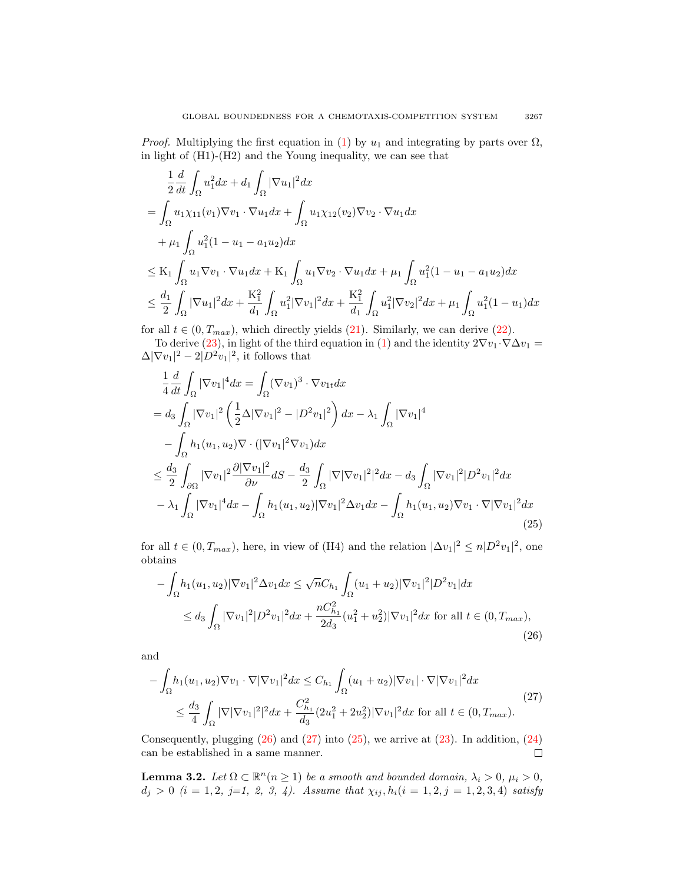*Proof.* Multiplying the first equation in [\(1\)](#page-0-0) by  $u_1$  and integrating by parts over  $\Omega$ , in light of (H1)-(H2) and the Young inequality, we can see that

$$
\frac{1}{2} \frac{d}{dt} \int_{\Omega} u_1^2 dx + d_1 \int_{\Omega} |\nabla u_1|^2 dx
$$
\n  
\n
$$
= \int_{\Omega} u_1 \chi_{11}(v_1) \nabla v_1 \cdot \nabla u_1 dx + \int_{\Omega} u_1 \chi_{12}(v_2) \nabla v_2 \cdot \nabla u_1 dx
$$
\n  
\n
$$
+ \mu_1 \int_{\Omega} u_1^2 (1 - u_1 - a_1 u_2) dx
$$
\n  
\n
$$
\leq K_1 \int_{\Omega} u_1 \nabla v_1 \cdot \nabla u_1 dx + K_1 \int_{\Omega} u_1 \nabla v_2 \cdot \nabla u_1 dx + \mu_1 \int_{\Omega} u_1^2 (1 - u_1 - a_1 u_2) dx
$$
\n  
\n
$$
\leq \frac{d_1}{2} \int_{\Omega} |\nabla u_1|^2 dx + \frac{K_1^2}{d_1} \int_{\Omega} u_1^2 |\nabla v_1|^2 dx + \frac{K_1^2}{d_1} \int_{\Omega} u_1^2 |\nabla v_2|^2 dx + \mu_1 \int_{\Omega} u_1^2 (1 - u_1) dx
$$

for all  $t \in (0, T_{max})$ , which directly yields [\(21\)](#page-5-0). Similarly, we can derive [\(22\)](#page-5-1). To derive [\(23\)](#page-5-2), in light of the third equation in [\(1\)](#page-0-0) and the identity  $2\nabla v_1 \cdot \nabla \Delta v_1 =$ 

$$
\Delta |\nabla v_1|^2 - 2|D^2v_1|^2
$$
, it follows that

<span id="page-6-2"></span>
$$
\frac{1}{4} \frac{d}{dt} \int_{\Omega} |\nabla v_{1}|^{4} dx = \int_{\Omega} (\nabla v_{1})^{3} \cdot \nabla v_{1t} dx \n= d_{3} \int_{\Omega} |\nabla v_{1}|^{2} \left( \frac{1}{2} \Delta |\nabla v_{1}|^{2} - |D^{2} v_{1}|^{2} \right) dx - \lambda_{1} \int_{\Omega} |\nabla v_{1}|^{4} \n- \int_{\Omega} h_{1}(u_{1}, u_{2}) \nabla \cdot (|\nabla v_{1}|^{2} \nabla v_{1}) dx \n\leq \frac{d_{3}}{2} \int_{\partial \Omega} |\nabla v_{1}|^{2} \frac{\partial |\nabla v_{1}|^{2}}{\partial \nu} dS - \frac{d_{3}}{2} \int_{\Omega} |\nabla |\nabla v_{1}|^{2} |^{2} dx - d_{3} \int_{\Omega} |\nabla v_{1}|^{2} |D^{2} v_{1}|^{2} dx \n- \lambda_{1} \int_{\Omega} |\nabla v_{1}|^{4} dx - \int_{\Omega} h_{1}(u_{1}, u_{2}) |\nabla v_{1}|^{2} \Delta v_{1} dx - \int_{\Omega} h_{1}(u_{1}, u_{2}) \nabla v_{1} \cdot \nabla |\nabla v_{1}|^{2} dx
$$
\n(25)

for all  $t \in (0, T_{max})$ , here, in view of (H4) and the relation  $|\Delta v_1|^2 \leq n|D^2v_1|^2$ , one obtains

<span id="page-6-0"></span>
$$
-\int_{\Omega} h_1(u_1, u_2) |\nabla v_1|^2 \Delta v_1 dx \le \sqrt{n} C_{h_1} \int_{\Omega} (u_1 + u_2) |\nabla v_1|^2 |D^2 v_1| dx
$$
  
\n
$$
\le d_3 \int_{\Omega} |\nabla v_1|^2 |D^2 v_1|^2 dx + \frac{n C_{h_1}^2}{2 d_3} (u_1^2 + u_2^2) |\nabla v_1|^2 dx \text{ for all } t \in (0, T_{max}),
$$
\n(26)

and

<span id="page-6-1"></span>
$$
-\int_{\Omega} h_1(u_1, u_2) \nabla v_1 \cdot \nabla |\nabla v_1|^2 dx \leq C_{h_1} \int_{\Omega} (u_1 + u_2) |\nabla v_1| \cdot \nabla |\nabla v_1|^2 dx
$$
  

$$
\leq \frac{d_3}{4} \int_{\Omega} |\nabla |\nabla v_1|^2|^2 dx + \frac{C_{h_1}^2}{d_3} (2u_1^2 + 2u_2^2) |\nabla v_1|^2 dx \text{ for all } t \in (0, T_{max}).
$$
 (27)

Consequently, plugging  $(26)$  and  $(27)$  into  $(25)$ , we arrive at  $(23)$ . In addition,  $(24)$  $\Box$ can be established in a same manner.

<span id="page-6-3"></span>**Lemma 3.2.** Let  $\Omega \subset \mathbb{R}^n (n \geq 1)$  be a smooth and bounded domain,  $\lambda_i > 0$ ,  $\mu_i > 0$ ,  $d_j > 0$   $(i = 1, 2, j=1, 2, 3, 4)$ . Assume that  $\chi_{ij}, h_i(i = 1, 2, j = 1, 2, 3, 4)$  satisfy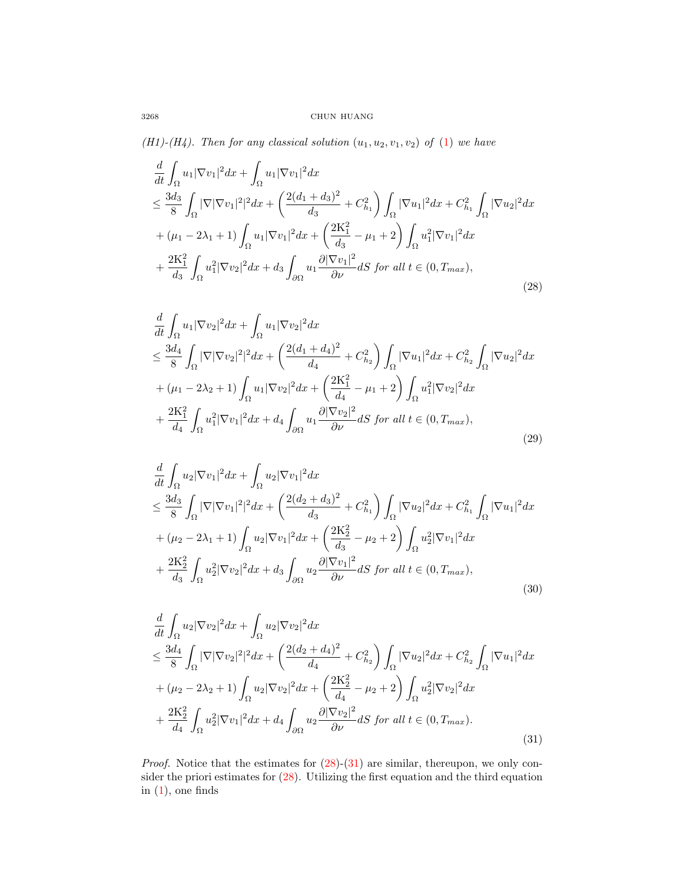(H1)-(H4). Then for any classical solution  $(u_1, u_2, v_1, v_2)$  of  $(1)$  we have

<span id="page-7-0"></span>
$$
\frac{d}{dt} \int_{\Omega} u_1 |\nabla v_1|^2 dx + \int_{\Omega} u_1 |\nabla v_1|^2 dx \n\leq \frac{3d_3}{8} \int_{\Omega} |\nabla |\nabla v_1|^2|^2 dx + \left(\frac{2(d_1 + d_3)^2}{d_3} + C_{h_1}^2\right) \int_{\Omega} |\nabla u_1|^2 dx + C_{h_1}^2 \int_{\Omega} |\nabla u_2|^2 dx \n+ (\mu_1 - 2\lambda_1 + 1) \int_{\Omega} u_1 |\nabla v_1|^2 dx + \left(\frac{2K_1^2}{d_3} - \mu_1 + 2\right) \int_{\Omega} u_1^2 |\nabla v_1|^2 dx \n+ \frac{2K_1^2}{d_3} \int_{\Omega} u_1^2 |\nabla v_2|^2 dx + d_3 \int_{\partial \Omega} u_1 \frac{\partial |\nabla v_1|^2}{\partial \nu} dS \text{ for all } t \in (0, T_{max}),
$$
\n(28)

<span id="page-7-2"></span>
$$
\frac{d}{dt} \int_{\Omega} u_1 |\nabla v_2|^2 dx + \int_{\Omega} u_1 |\nabla v_2|^2 dx \n\leq \frac{3d_4}{8} \int_{\Omega} |\nabla |\nabla v_2|^2|^2 dx + \left(\frac{2(d_1 + d_4)^2}{d_4} + C_{h_2}^2\right) \int_{\Omega} |\nabla u_1|^2 dx + C_{h_2}^2 \int_{\Omega} |\nabla u_2|^2 dx \n+ (\mu_1 - 2\lambda_2 + 1) \int_{\Omega} u_1 |\nabla v_2|^2 dx + \left(\frac{2K_1^2}{d_4} - \mu_1 + 2\right) \int_{\Omega} u_1^2 |\nabla v_2|^2 dx \n+ \frac{2K_1^2}{d_4} \int_{\Omega} u_1^2 |\nabla v_1|^2 dx + d_4 \int_{\partial\Omega} u_1 \frac{\partial |\nabla v_2|^2}{\partial \nu} dS \text{ for all } t \in (0, T_{max}),
$$
\n(29)

$$
\frac{d}{dt} \int_{\Omega} u_2 |\nabla v_1|^2 dx + \int_{\Omega} u_2 |\nabla v_1|^2 dx \n\leq \frac{3d_3}{8} \int_{\Omega} |\nabla |\nabla v_1|^2|^2 dx + \left(\frac{2(d_2 + d_3)^2}{d_3} + C_{h_1}^2\right) \int_{\Omega} |\nabla u_2|^2 dx + C_{h_1}^2 \int_{\Omega} |\nabla u_1|^2 dx \n+ (\mu_2 - 2\lambda_1 + 1) \int_{\Omega} u_2 |\nabla v_1|^2 dx + \left(\frac{2K_2^2}{d_3} - \mu_2 + 2\right) \int_{\Omega} u_2^2 |\nabla v_1|^2 dx \n+ \frac{2K_2^2}{d_3} \int_{\Omega} u_2^2 |\nabla v_2|^2 dx + d_3 \int_{\partial \Omega} u_2 \frac{\partial |\nabla v_1|^2}{\partial \nu} dS \text{ for all } t \in (0, T_{max}),
$$
\n(30)

<span id="page-7-1"></span>
$$
\frac{d}{dt} \int_{\Omega} u_2 |\nabla v_2|^2 dx + \int_{\Omega} u_2 |\nabla v_2|^2 dx \n\leq \frac{3d_4}{8} \int_{\Omega} |\nabla |\nabla v_2|^2|^2 dx + \left(\frac{2(d_2 + d_4)^2}{d_4} + C_{h_2}^2\right) \int_{\Omega} |\nabla u_2|^2 dx + C_{h_2}^2 \int_{\Omega} |\nabla u_1|^2 dx \n+ (\mu_2 - 2\lambda_2 + 1) \int_{\Omega} u_2 |\nabla v_2|^2 dx + \left(\frac{2K_2^2}{d_4} - \mu_2 + 2\right) \int_{\Omega} u_2^2 |\nabla v_2|^2 dx \n+ \frac{2K_2^2}{d_4} \int_{\Omega} u_2^2 |\nabla v_1|^2 dx + d_4 \int_{\partial\Omega} u_2 \frac{\partial |\nabla v_2|^2}{\partial \nu} dS \text{ for all } t \in (0, T_{max}).
$$
\n(31)

*Proof.* Notice that the estimates for  $(28)-(31)$  $(28)-(31)$  $(28)-(31)$  are similar, thereupon, we only consider the priori estimates for [\(28\)](#page-7-0). Utilizing the first equation and the third equation in  $(1)$ , one finds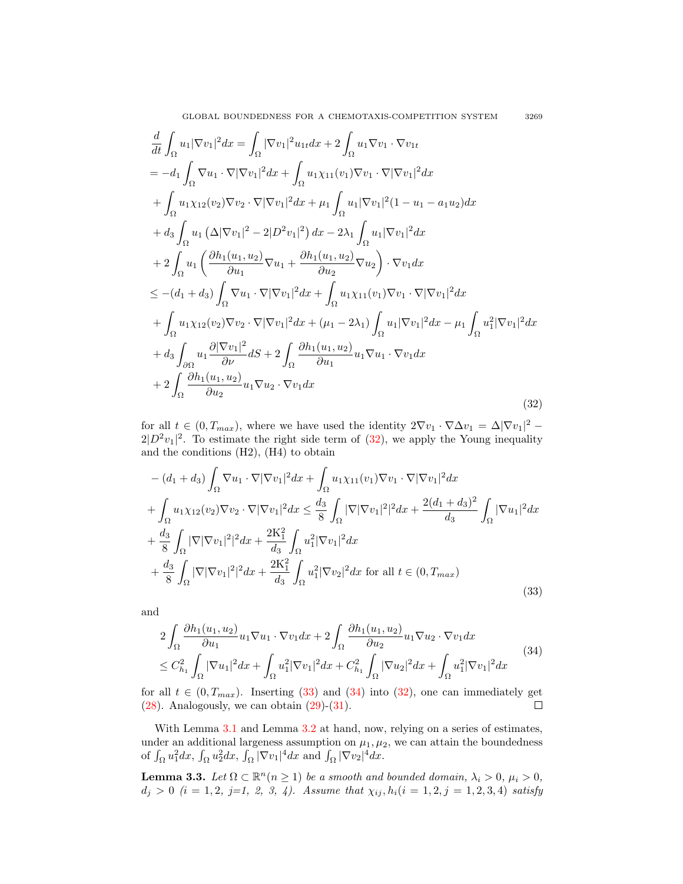GLOBAL BOUNDEDNESS FOR A CHEMOTAXIS-COMPETITION SYSTEM 3269

<span id="page-8-0"></span>
$$
\frac{d}{dt} \int_{\Omega} u_1 |\nabla v_1|^2 dx = \int_{\Omega} |\nabla v_1|^2 u_{1t} dx + 2 \int_{\Omega} u_1 \nabla v_1 \cdot \nabla v_{1t}
$$
\n
$$
= -d_1 \int_{\Omega} \nabla u_1 \cdot \nabla |\nabla v_1|^2 dx + \int_{\Omega} u_1 \chi_{11}(v_1) \nabla v_1 \cdot \nabla |\nabla v_1|^2 dx
$$
\n
$$
+ \int_{\Omega} u_1 \chi_{12}(v_2) \nabla v_2 \cdot \nabla |\nabla v_1|^2 dx + \mu_1 \int_{\Omega} u_1 |\nabla v_1|^2 (1 - u_1 - a_1 u_2) dx
$$
\n
$$
+ d_3 \int_{\Omega} u_1 (\Delta |\nabla v_1|^2 - 2|D^2 v_1|^2) dx - 2\lambda_1 \int_{\Omega} u_1 |\nabla v_1|^2 dx
$$
\n
$$
+ 2 \int_{\Omega} u_1 \left( \frac{\partial h_1(u_1, u_2)}{\partial u_1} \nabla u_1 + \frac{\partial h_1(u_1, u_2)}{\partial u_2} \nabla u_2 \right) \cdot \nabla v_1 dx
$$
\n
$$
\leq -(d_1 + d_3) \int_{\Omega} \nabla u_1 \cdot \nabla |\nabla v_1|^2 dx + \int_{\Omega} u_1 \chi_{11}(v_1) \nabla v_1 \cdot \nabla |\nabla v_1|^2 dx
$$
\n
$$
+ \int_{\Omega} u_1 \chi_{12}(v_2) \nabla v_2 \cdot \nabla |\nabla v_1|^2 dx + (\mu_1 - 2\lambda_1) \int_{\Omega} u_1 |\nabla v_1|^2 dx - \mu_1 \int_{\Omega} u_1^2 |\nabla v_1|^2 dx
$$
\n
$$
+ d_3 \int_{\partial \Omega} u_1 \frac{\partial |\nabla v_1|^2}{\partial \nu} dS + 2 \int_{\Omega} \frac{\partial h_1(u_1, u_2)}{\partial u_1} u_1 \nabla u_1 \cdot \nabla v_1 dx
$$
\n
$$
+ 2 \int_{\Omega} \frac{\partial h_1(u_1, u_2)}{\partial
$$

for all  $t \in (0, T_{max})$ , where we have used the identity  $2\nabla v_1 \cdot \nabla \Delta v_1 = \Delta |\nabla v_1|^2$  $2|D^2v_1|^2$ . To estimate the right side term of [\(32\)](#page-8-0), we apply the Young inequality and the conditions (H2), (H4) to obtain

<span id="page-8-1"></span>
$$
-(d_1 + d_3) \int_{\Omega} \nabla u_1 \cdot \nabla |\nabla v_1|^2 dx + \int_{\Omega} u_1 \chi_{11}(v_1) \nabla v_1 \cdot \nabla |\nabla v_1|^2 dx + \int_{\Omega} u_1 \chi_{12}(v_2) \nabla v_2 \cdot \nabla |\nabla v_1|^2 dx \leq \frac{d_3}{8} \int_{\Omega} |\nabla |\nabla v_1|^2|^2 dx + \frac{2(d_1 + d_3)^2}{d_3} \int_{\Omega} |\nabla u_1|^2 dx + \frac{d_3}{8} \int_{\Omega} |\nabla |\nabla v_1|^2|^2 dx + \frac{2K_1^2}{d_3} \int_{\Omega} u_1^2 |\nabla v_1|^2 dx + \frac{d_3}{8} \int_{\Omega} |\nabla |\nabla v_1|^2|^2 dx + \frac{2K_1^2}{d_3} \int_{\Omega} u_1^2 |\nabla v_2|^2 dx \text{ for all } t \in (0, T_{max})
$$
\n(33)

and

<span id="page-8-2"></span>
$$
2\int_{\Omega} \frac{\partial h_1(u_1, u_2)}{\partial u_1} u_1 \nabla u_1 \cdot \nabla v_1 dx + 2\int_{\Omega} \frac{\partial h_1(u_1, u_2)}{\partial u_2} u_1 \nabla u_2 \cdot \nabla v_1 dx
$$
  
\n
$$
\leq C_{h_1}^2 \int_{\Omega} |\nabla u_1|^2 dx + \int_{\Omega} u_1^2 |\nabla v_1|^2 dx + C_{h_1}^2 \int_{\Omega} |\nabla u_2|^2 dx + \int_{\Omega} u_1^2 |\nabla v_1|^2 dx
$$
\n(34)

for all  $t \in (0, T_{max})$ . Inserting [\(33\)](#page-8-1) and [\(34\)](#page-8-2) into [\(32\)](#page-8-0), one can immediately get (28). Analogously, we can obtain (29)-(31).  $(28)$ . Analogously, we can obtain  $(29)-(31)$  $(29)-(31)$  $(29)-(31)$ .

With Lemma [3.1](#page-5-4) and Lemma [3.2](#page-6-3) at hand, now, relying on a series of estimates, under an additional largeness assumption on  $\mu_1, \mu_2$ , we can attain the boundedness of  $\int_{\Omega} u_1^2 dx$ ,  $\int_{\Omega} u_2^2 dx$ ,  $\int_{\Omega} |\nabla v_1|^4 dx$  and  $\int_{\Omega} |\nabla v_2|^4 dx$ .

**Lemma 3.3.** Let  $\Omega \subset \mathbb{R}^n$  ( $n \geq 1$ ) be a smooth and bounded domain,  $\lambda_i > 0$ ,  $\mu_i > 0$ ,  $d_j > 0$   $(i = 1, 2, j=1, 2, 3, 4)$ . Assume that  $\chi_{ij}, h_i(i = 1, 2, j = 1, 2, 3, 4)$  satisfy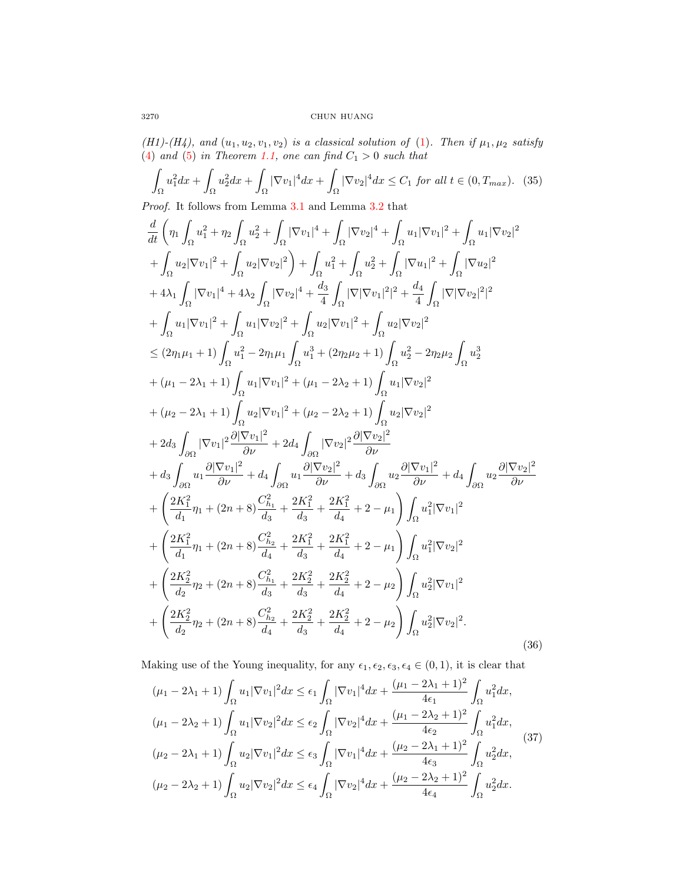(H1)-(H4), and  $(u_1, u_2, v_1, v_2)$  is a classical solution of [\(1\)](#page-0-0). Then if  $\mu_1, \mu_2$  satisfy [\(4\)](#page-2-2) and [\(5\)](#page-2-3) in Theorem [1.1,](#page-2-4) one can find  $C_1 > 0$  such that

<span id="page-9-2"></span>
$$
\int_{\Omega} u_1^2 dx + \int_{\Omega} u_2^2 dx + \int_{\Omega} |\nabla v_1|^4 dx + \int_{\Omega} |\nabla v_2|^4 dx \le C_1 \text{ for all } t \in (0, T_{\text{max}}). \tag{35}
$$

Proof. It follows from Lemma [3.1](#page-5-4) and Lemma [3.2](#page-6-3) that

<span id="page-9-1"></span>
$$
\begin{split} &\frac{d}{dt}\left(\eta_{1}\int_{\Omega}u_{1}^{2}+\eta_{2}\int_{\Omega}u_{2}^{2}+\int_{\Omega}|\nabla v_{1}|^{4}+\int_{\Omega}|\nabla v_{2}|^{4}+\int_{\Omega}u_{1}|\nabla v_{1}|^{2}+\int_{\Omega}u_{1}|\nabla v_{2}|^{2} \\&+\int_{\Omega}u_{2}|\nabla v_{1}|^{2}+\int_{\Omega}u_{2}|\nabla v_{2}|^{2}\right) +\int_{\Omega}u_{1}^{2}+\int_{\Omega}u_{2}^{2}+\int_{\Omega}|\nabla u_{1}|^{2}+\int_{\Omega}|\nabla u_{2}|^{2} \\&+4\lambda_{1}\int_{\Omega}|\nabla v_{1}|^{4}+4\lambda_{2}\int_{\Omega}|\nabla v_{2}|^{4}+\frac{d_{3}}{4}\int_{\Omega}|\nabla|\nabla v_{1}|^{2}|^{2}+\frac{d_{4}}{4}\int_{\Omega}|\nabla|\nabla v_{2}|^{2}|^{2} \\&+\int_{\Omega}u_{1}|\nabla v_{1}|^{2}+\int_{\Omega}u_{1}|\nabla v_{2}|^{2}+\int_{\Omega}u_{2}|\nabla v_{1}|^{2}+\int_{\Omega}u_{2}|\nabla v_{2}|^{2} \\&\leq (2\eta_{1}\mu_{1}+1)\int_{\Omega}u_{1}^{2}-2\eta_{1}\mu_{1}\int_{\Omega}u_{1}^{3}+(2\eta_{2}\mu_{2}+1)\int_{\Omega}u_{2}^{2}-2\eta_{2}\mu_{2}\int_{\Omega}u_{2}^{3} \\&+(\mu_{1}-2\lambda_{1}+1)\int_{\Omega}u_{1}|\nabla v_{1}|^{2}+(\mu_{1}-2\lambda_{2}+1)\int_{\Omega}u_{1}|\nabla v_{2}|^{2} \\&+(\mu_{2}-2\lambda_{1}+1)\int_{\Omega}u_{2}|\nabla v_{1}|^{2}+(\mu_{2}-2\lambda_{2}+1)\int_{\Omega}u_{2}|\nabla v_{2}|^{2} \\&+\int_{\partial\Omega}|\nabla v_{1}|^{2}\frac{\partial|\nabla v_{1}|^{2}}{\partial\nu}+\partial u_{3}\int_{\partial\Omega}|\nabla v_{2}|^{2}\frac{\partial|\nabla v_{2}|^{2}}{\partial\nu} \\&+\frac{
$$

Making use of the Young inequality, for any  $\epsilon_1, \epsilon_2, \epsilon_3, \epsilon_4 \in (0, 1)$ , it is clear that

<span id="page-9-0"></span>
$$
(\mu_1 - 2\lambda_1 + 1) \int_{\Omega} u_1 |\nabla v_1|^2 dx \le \epsilon_1 \int_{\Omega} |\nabla v_1|^4 dx + \frac{(\mu_1 - 2\lambda_1 + 1)^2}{4\epsilon_1} \int_{\Omega} u_1^2 dx,
$$
  
\n
$$
(\mu_1 - 2\lambda_2 + 1) \int_{\Omega} u_1 |\nabla v_2|^2 dx \le \epsilon_2 \int_{\Omega} |\nabla v_2|^4 dx + \frac{(\mu_1 - 2\lambda_2 + 1)^2}{4\epsilon_2} \int_{\Omega} u_1^2 dx,
$$
  
\n
$$
(\mu_2 - 2\lambda_1 + 1) \int_{\Omega} u_2 |\nabla v_1|^2 dx \le \epsilon_3 \int_{\Omega} |\nabla v_1|^4 dx + \frac{(\mu_2 - 2\lambda_1 + 1)^2}{4\epsilon_3} \int_{\Omega} u_2^2 dx,
$$
  
\n
$$
(\mu_2 - 2\lambda_2 + 1) \int_{\Omega} u_2 |\nabla v_2|^2 dx \le \epsilon_4 \int_{\Omega} |\nabla v_2|^4 dx + \frac{(\mu_2 - 2\lambda_2 + 1)^2}{4\epsilon_4} \int_{\Omega} u_2^2 dx.
$$
\n(37)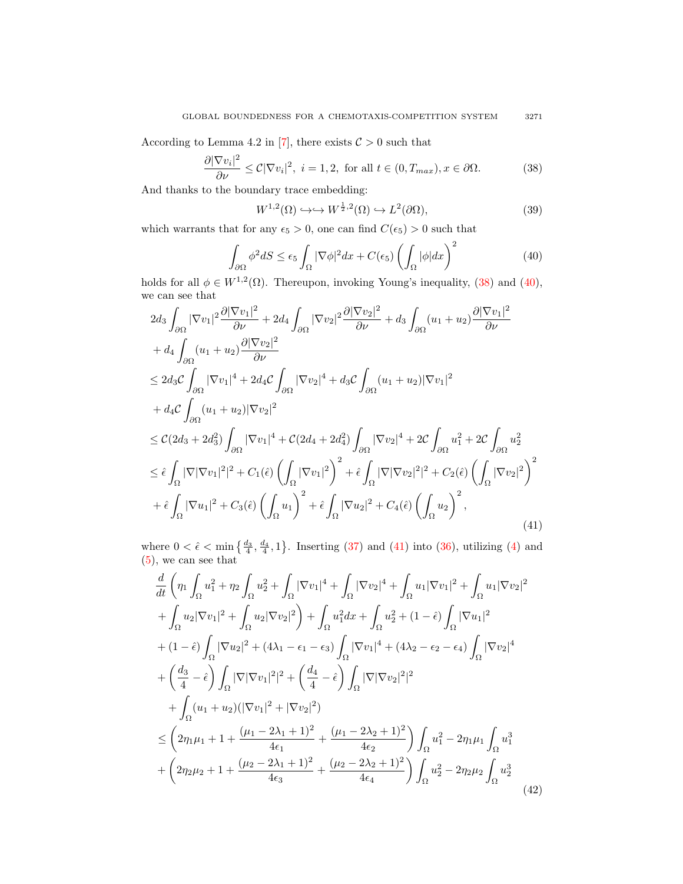According to Lemma 4.2 in [\[7\]](#page-17-18), there exists  $C > 0$  such that

<span id="page-10-0"></span>
$$
\frac{\partial |\nabla v_i|^2}{\partial \nu} \le C|\nabla v_i|^2, \ i = 1, 2, \text{ for all } t \in (0, T_{max}), x \in \partial \Omega.
$$
 (38)

And thanks to the boundary trace embedding:

$$
W^{1,2}(\Omega) \hookrightarrow \hookrightarrow W^{\frac{1}{2},2}(\Omega) \hookrightarrow L^2(\partial\Omega),\tag{39}
$$

which warrants that for any  $\epsilon_5 > 0$ , one can find  $C(\epsilon_5) > 0$  such that

<span id="page-10-1"></span>
$$
\int_{\partial\Omega} \phi^2 dS \le \epsilon_5 \int_{\Omega} |\nabla \phi|^2 dx + C(\epsilon_5) \left( \int_{\Omega} |\phi| dx \right)^2 \tag{40}
$$

holds for all  $\phi \in W^{1,2}(\Omega)$ . Thereupon, invoking Young's inequality, [\(38\)](#page-10-0) and [\(40\)](#page-10-1), we can see that

<span id="page-10-2"></span>
$$
2d_3 \int_{\partial\Omega} |\nabla v_1|^2 \frac{\partial |\nabla v_1|^2}{\partial \nu} + 2d_4 \int_{\partial\Omega} |\nabla v_2|^2 \frac{\partial |\nabla v_2|^2}{\partial \nu} + d_3 \int_{\partial\Omega} (u_1 + u_2) \frac{\partial |\nabla v_1|^2}{\partial \nu} + d_4 \int_{\partial\Omega} (u_1 + u_2) \frac{\partial |\nabla v_2|^2}{\partial \nu} \leq 2d_3 \mathcal{C} \int_{\partial\Omega} |\nabla v_1|^4 + 2d_4 \mathcal{C} \int_{\partial\Omega} |\nabla v_2|^4 + d_3 \mathcal{C} \int_{\partial\Omega} (u_1 + u_2) |\nabla v_1|^2 + d_4 \mathcal{C} \int_{\partial\Omega} (u_1 + u_2) |\nabla v_2|^2 \leq \mathcal{C}(2d_3 + 2d_3^2) \int_{\partial\Omega} |\nabla v_1|^4 + \mathcal{C}(2d_4 + 2d_4^2) \int_{\partial\Omega} |\nabla v_2|^4 + 2\mathcal{C} \int_{\partial\Omega} u_1^2 + 2\mathcal{C} \int_{\partial\Omega} u_2^2 \leq \hat{\epsilon} \int_{\Omega} |\nabla |\nabla v_1|^2|^2 + C_1(\hat{\epsilon}) \left( \int_{\Omega} |\nabla v_1|^2 \right)^2 + \hat{\epsilon} \int_{\Omega} |\nabla |\nabla v_2|^2|^2 + C_2(\hat{\epsilon}) \left( \int_{\Omega} |\nabla v_2|^2 \right)^2 + \hat{\epsilon} \int_{\Omega} |\nabla u_1|^2 + C_3(\hat{\epsilon}) \left( \int_{\Omega} u_1 \right)^2 + \hat{\epsilon} \int_{\Omega} |\nabla u_2|^2 + C_4(\hat{\epsilon}) \left( \int_{\Omega} u_2 \right)^2, \tag{41}
$$

where  $0 < \hat{\epsilon} < \min\left\{\frac{d_3}{4}, \frac{d_4}{4}, 1\right\}$ . Inserting [\(37\)](#page-9-0) and [\(41\)](#page-10-2) into [\(36\)](#page-9-1), utilizing [\(4\)](#page-2-2) and [\(5\)](#page-2-3), we can see that

<span id="page-10-3"></span>
$$
\frac{d}{dt} \left( \eta_1 \int_{\Omega} u_1^2 + \eta_2 \int_{\Omega} u_2^2 + \int_{\Omega} |\nabla v_1|^4 + \int_{\Omega} |\nabla v_2|^4 + \int_{\Omega} u_1 |\nabla v_1|^2 + \int_{\Omega} u_1 |\nabla v_2|^2 \right) \n+ \int_{\Omega} u_2 |\nabla v_1|^2 + \int_{\Omega} u_2 |\nabla v_2|^2 \right) + \int_{\Omega} u_1^2 dx + \int_{\Omega} u_2^2 + (1 - \hat{\epsilon}) \int_{\Omega} |\nabla u_1|^2 \n+ (1 - \hat{\epsilon}) \int_{\Omega} |\nabla u_2|^2 + (4\lambda_1 - \epsilon_1 - \epsilon_3) \int_{\Omega} |\nabla v_1|^4 + (4\lambda_2 - \epsilon_2 - \epsilon_4) \int_{\Omega} |\nabla v_2|^4 \n+ \left( \frac{d_3}{4} - \hat{\epsilon} \right) \int_{\Omega} |\nabla |\nabla v_1|^2|^2 + \left( \frac{d_4}{4} - \hat{\epsilon} \right) \int_{\Omega} |\nabla |\nabla v_2|^2|^2 \n+ \int_{\Omega} (u_1 + u_2) (|\nabla v_1|^2 + |\nabla v_2|^2) \n\leq \left( 2\eta_1 \mu_1 + 1 + \frac{(\mu_1 - 2\lambda_1 + 1)^2}{4\epsilon_1} + \frac{(\mu_1 - 2\lambda_2 + 1)^2}{4\epsilon_2} \right) \int_{\Omega} u_1^2 - 2\eta_1 \mu_1 \int_{\Omega} u_1^3 \n+ \left( 2\eta_2 \mu_2 + 1 + \frac{(\mu_2 - 2\lambda_1 + 1)^2}{4\epsilon_3} + \frac{(\mu_2 - 2\lambda_2 + 1)^2}{4\epsilon_4} \right) \int_{\Omega} u_2^2 - 2\eta_2 \mu_2 \int_{\Omega} u_2^3
$$
\n(42)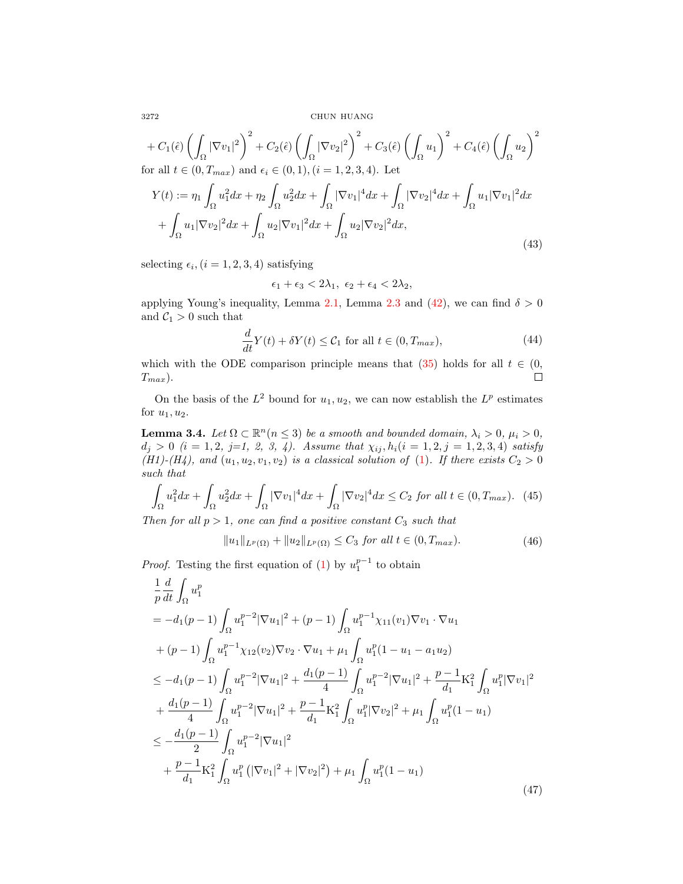$$
+ C_1(\hat{\epsilon}) \left( \int_{\Omega} |\nabla v_1|^2 \right)^2 + C_2(\hat{\epsilon}) \left( \int_{\Omega} |\nabla v_2|^2 \right)^2 + C_3(\hat{\epsilon}) \left( \int_{\Omega} u_1 \right)^2 + C_4(\hat{\epsilon}) \left( \int_{\Omega} u_2 \right)^2
$$
  
for all  $t \in (0, T_{max})$  and  $\epsilon_i \in (0, 1), (i = 1, 2, 3, 4)$ . Let  

$$
Y(t) := \eta_1 \int_{\Omega} u_1^2 dx + \eta_2 \int_{\Omega} u_2^2 dx + \int_{\Omega} |\nabla v_1|^4 dx + \int_{\Omega} |\nabla v_2|^4 dx + \int_{\Omega} u_1 |\nabla v_1|^2 dx
$$

$$
+ \int_{\Omega} u_1 |\nabla v_2|^2 dx + \int_{\Omega} u_2 |\nabla v_1|^2 dx + \int_{\Omega} u_2 |\nabla v_2|^2 dx,
$$
(43)

selecting  $\epsilon_i$ ,  $(i = 1, 2, 3, 4)$  satisfying

$$
\epsilon_1 + \epsilon_3 < 2\lambda_1, \ \epsilon_2 + \epsilon_4 < 2\lambda_2,
$$

applying Young's inequality, Lemma [2.1,](#page-2-0) Lemma [2.3](#page-3-4) and [\(42\)](#page-10-3), we can find  $\delta > 0$ and  $C_1 > 0$  such that

$$
\frac{d}{dt}Y(t) + \delta Y(t) \leq C_1 \text{ for all } t \in (0, T_{max}),\tag{44}
$$

which with the ODE comparison principle means that [\(35\)](#page-9-2) holds for all  $t \in (0, 1)$  $\Box$  $T_{max}$ ).

On the basis of the  $L^2$  bound for  $u_1, u_2$ , we can now establish the  $L^p$  estimates for  $u_1, u_2$ .

<span id="page-11-2"></span>**Lemma 3.4.** Let  $\Omega \subset \mathbb{R}^n (n \leq 3)$  be a smooth and bounded domain,  $\lambda_i > 0$ ,  $\mu_i > 0$ ,  $d_j > 0$   $(i = 1, 2, j=1, 2, 3, 4)$ . Assume that  $\chi_{ij}, h_i(i = 1, 2, j = 1, 2, 3, 4)$  satisfy (H1)-(H4), and  $(u_1, u_2, v_1, v_2)$  is a classical solution of [\(1\)](#page-0-0). If there exists  $C_2 > 0$ such that

<span id="page-11-0"></span>
$$
\int_{\Omega} u_1^2 dx + \int_{\Omega} u_2^2 dx + \int_{\Omega} |\nabla v_1|^4 dx + \int_{\Omega} |\nabla v_2|^4 dx \le C_2 \text{ for all } t \in (0, T_{\text{max}}). \tag{45}
$$

Then for all  $p > 1$ , one can find a positive constant  $C_3$  such that

$$
||u_1||_{L^p(\Omega)} + ||u_2||_{L^p(\Omega)} \le C_3 \text{ for all } t \in (0, T_{max}).
$$
\n(46)

*Proof.* Testing the first equation of [\(1\)](#page-0-0) by  $u_1^{p-1}$  to obtain

<span id="page-11-1"></span>
$$
\frac{1}{p} \frac{d}{dt} \int_{\Omega} u_1^p
$$
\n
$$
= -d_1(p-1) \int_{\Omega} u_1^{p-2} |\nabla u_1|^2 + (p-1) \int_{\Omega} u_1^{p-1} \chi_{11}(v_1) \nabla v_1 \cdot \nabla u_1
$$
\n
$$
+ (p-1) \int_{\Omega} u_1^{p-1} \chi_{12}(v_2) \nabla v_2 \cdot \nabla u_1 + \mu_1 \int_{\Omega} u_1^p (1 - u_1 - a_1 u_2)
$$
\n
$$
\leq -d_1(p-1) \int_{\Omega} u_1^{p-2} |\nabla u_1|^2 + \frac{d_1(p-1)}{4} \int_{\Omega} u_1^{p-2} |\nabla u_1|^2 + \frac{p-1}{d_1} \mathcal{K}_1^2 \int_{\Omega} u_1^p |\nabla v_1|^2
$$
\n
$$
+ \frac{d_1(p-1)}{4} \int_{\Omega} u_1^{p-2} |\nabla u_1|^2 + \frac{p-1}{d_1} \mathcal{K}_1^2 \int_{\Omega} u_1^p |\nabla v_2|^2 + \mu_1 \int_{\Omega} u_1^p (1 - u_1)
$$
\n
$$
\leq -\frac{d_1(p-1)}{2} \int_{\Omega} u_1^{p-2} |\nabla u_1|^2
$$
\n
$$
+ \frac{p-1}{d_1} \mathcal{K}_1^2 \int_{\Omega} u_1^p (|\nabla v_1|^2 + |\nabla v_2|^2) + \mu_1 \int_{\Omega} u_1^p (1 - u_1)
$$
\n(47)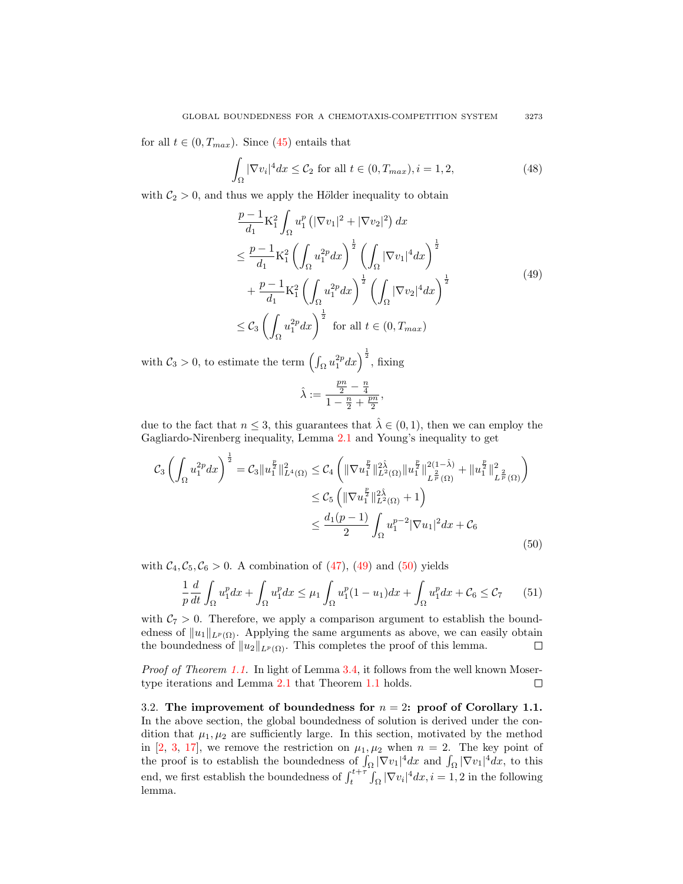for all  $t \in (0, T_{max})$ . Since [\(45\)](#page-11-0) entails that

$$
\int_{\Omega} |\nabla v_i|^4 dx \le C_2 \text{ for all } t \in (0, T_{max}), i = 1, 2,
$$
\n(48)

<span id="page-12-0"></span>with  $C_2 > 0$ , and thus we apply the Hölder inequality to obtain

$$
\frac{p-1}{d_1} \mathcal{K}_1^2 \int_{\Omega} u_1^p \left( |\nabla v_1|^2 + |\nabla v_2|^2 \right) dx
$$
\n
$$
\leq \frac{p-1}{d_1} \mathcal{K}_1^2 \left( \int_{\Omega} u_1^{2p} dx \right)^{\frac{1}{2}} \left( \int_{\Omega} |\nabla v_1|^4 dx \right)^{\frac{1}{2}}
$$
\n
$$
+ \frac{p-1}{d_1} \mathcal{K}_1^2 \left( \int_{\Omega} u_1^{2p} dx \right)^{\frac{1}{2}} \left( \int_{\Omega} |\nabla v_2|^4 dx \right)^{\frac{1}{2}}
$$
\n
$$
\leq C_3 \left( \int_{\Omega} u_1^{2p} dx \right)^{\frac{1}{2}} \text{ for all } t \in (0, T_{max})
$$
\n(49)

with  $C_3 > 0$ , to estimate the term  $\left(\int_{\Omega} u_1^{2p} dx\right)^{\frac{1}{2}}$ , fixing

$$
\hat{\lambda}:=\frac{\frac{pn}{2}-\frac{n}{4}}{1-\frac{n}{2}+\frac{pn}{2}},
$$

due to the fact that  $n \leq 3$ , this guarantees that  $\hat{\lambda} \in (0,1)$ , then we can employ the Gagliardo-Nirenberg inequality, Lemma [2.1](#page-2-0) and Young's inequality to get

<span id="page-12-1"></span>
$$
C_{3} \left( \int_{\Omega} u_{1}^{2p} dx \right)^{\frac{1}{2}} = C_{3} \| u_{1}^{\frac{p}{2}} \|_{L^{4}(\Omega)}^{2} \leq C_{4} \left( \| \nabla u_{1}^{\frac{p}{2}} \|_{L^{2}(\Omega)}^{2\hat{\lambda}} \| u_{1}^{\frac{p}{2}} \|_{L^{\frac{2}{p}}(\Omega)}^{2(1-\hat{\lambda})} + \| u_{1}^{\frac{p}{2}} \|_{L^{\frac{2}{p}}(\Omega)}^{2} \right)
$$
  

$$
\leq C_{5} \left( \| \nabla u_{1}^{\frac{p}{2}} \|_{L^{2}(\Omega)}^{2\hat{\lambda}} + 1 \right)
$$
  

$$
\leq \frac{d_{1}(p-1)}{2} \int_{\Omega} u_{1}^{p-2} |\nabla u_{1}|^{2} dx + C_{6}
$$
(50)

with  $C_4, C_5, C_6 > 0$ . A combination of [\(47\)](#page-11-1), [\(49\)](#page-12-0) and [\(50\)](#page-12-1) yields

$$
\frac{1}{p}\frac{d}{dt}\int_{\Omega}u_1^p dx + \int_{\Omega}u_1^p dx \le \mu_1 \int_{\Omega}u_1^p (1-u_1) dx + \int_{\Omega}u_1^p dx + C_6 \le C_7 \tag{51}
$$

with  $C_7 > 0$ . Therefore, we apply a comparison argument to establish the boundedness of  $||u_1||_{L^p(\Omega)}$ . Applying the same arguments as above, we can easily obtain the boundedness of  $||u_2||_{L^p(\Omega)}$ . This completes the proof of this lemma.  $\Box$ 

Proof of Theorem [1.1.](#page-2-4) In light of Lemma [3.4,](#page-11-2) it follows from the well known Mosertype iterations and Lemma [2.1](#page-2-0) that Theorem [1.1](#page-2-4) holds.  $\Box$ 

3.2. The improvement of boundedness for  $n = 2$ : proof of Corollary 1.1. In the above section, the global boundedness of solution is derived under the condition that  $\mu_1, \mu_2$  are sufficiently large. In this section, motivated by the method in [\[2,](#page-17-19) [3,](#page-17-5) [17\]](#page-17-1), we remove the restriction on  $\mu_1, \mu_2$  when  $n = 2$ . The key point of the proof is to establish the boundedness of  $\int_{\Omega} |\nabla v_1|^4 dx$  and  $\int_{\Omega} |\nabla v_1|^4 dx$ , to this end, we first establish the boundedness of  $\int_{t}^{t+\tau} \int_{\Omega} |\nabla v_i|^4 dx$ ,  $i = 1, 2$  in the following lemma.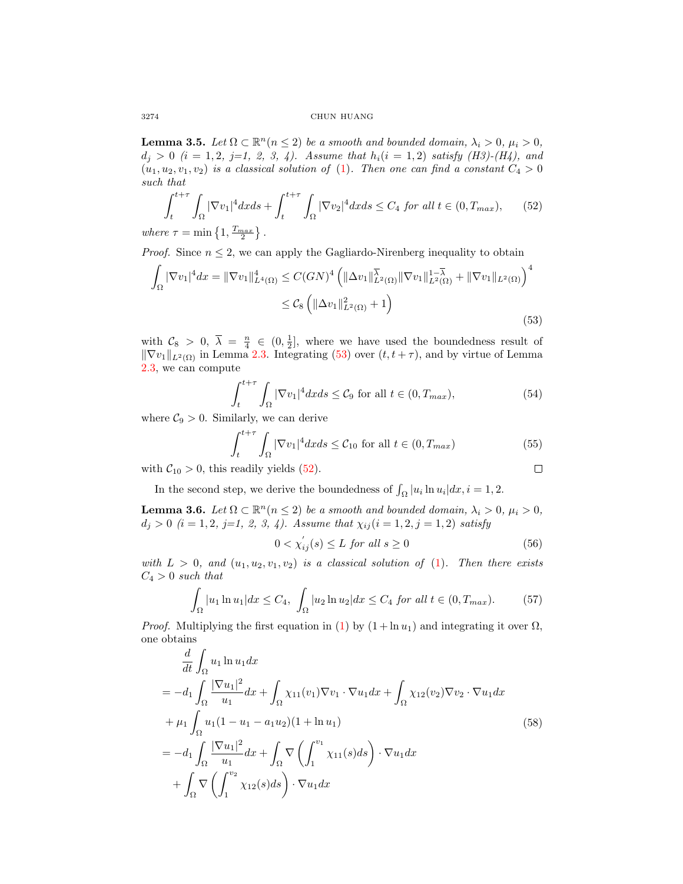**Lemma 3.5.** Let  $\Omega \subset \mathbb{R}^n (n \leq 2)$  be a smooth and bounded domain,  $\lambda_i > 0$ ,  $\mu_i > 0$ ,  $d_i > 0$  (i = 1, 2, j=1, 2, 3, 4). Assume that  $h_i(i = 1, 2)$  satisfy (H3)-(H4), and  $(u_1, u_2, v_1, v_2)$  is a classical solution of [\(1\)](#page-0-0). Then one can find a constant  $C_4 > 0$ such that

<span id="page-13-1"></span>
$$
\int_{t}^{t+\tau} \int_{\Omega} |\nabla v_{1}|^{4} dx ds + \int_{t}^{t+\tau} \int_{\Omega} |\nabla v_{2}|^{4} dx ds \le C_{4} \text{ for all } t \in (0, T_{\max}), \qquad (52)
$$
  
where  $\tau = \min\left\{1, \frac{T_{\max}}{2}\right\}.$ 

*Proof.* Since  $n \leq 2$ , we can apply the Gagliardo-Nirenberg inequality to obtain

<span id="page-13-0"></span>
$$
\int_{\Omega} |\nabla v_{1}|^{4} dx = ||\nabla v_{1}||_{L^{4}(\Omega)}^{4} \leq C(GN)^{4} \left( ||\Delta v_{1}||_{L^{2}(\Omega)}^{\overline{\lambda}} ||\nabla v_{1}||_{L^{2}(\Omega)}^{1-\overline{\lambda}} + ||\nabla v_{1}||_{L^{2}(\Omega)} \right)^{4}
$$
  
 
$$
\leq C_{8} \left( ||\Delta v_{1}||_{L^{2}(\Omega)}^{2} + 1 \right)
$$
(53)

with  $C_8 > 0$ ,  $\overline{\lambda} = \frac{n}{4} \in (0, \frac{1}{2}]$ , where we have used the boundedness result of  $\|\nabla v_1\|_{L^2(\Omega)}$  in Lemma [2.3.](#page-3-4) Integrating [\(53\)](#page-13-0) over  $(t, t + \tau)$ , and by virtue of Lemma [2.3,](#page-3-4) we can compute

$$
\int_{t}^{t+\tau} \int_{\Omega} |\nabla v_{1}|^{4} dx ds \leq C_{9} \text{ for all } t \in (0, T_{max}), \tag{54}
$$

where  $\mathcal{C}_9 > 0$ . Similarly, we can derive

$$
\int_{t}^{t+\tau} \int_{\Omega} |\nabla v_{1}|^{4} dx ds \leq C_{10} \text{ for all } t \in (0, T_{max})
$$
\n
$$
\text{readily yields (52).} \qquad \Box
$$

with  $C_{10} > 0$ , this readily yields [\(52\)](#page-13-1).

In the second step, we derive the boundedness of  $\int_{\Omega} |u_i| \ln u_i| dx$ ,  $i = 1, 2$ .

<span id="page-13-4"></span>**Lemma 3.6.** Let  $\Omega \subset \mathbb{R}^n (n \leq 2)$  be a smooth and bounded domain,  $\lambda_i > 0$ ,  $\mu_i > 0$ ,  $d_i > 0$  (i = 1, 2, j=1, 2, 3, 4). Assume that  $\chi_{ij}$  (i = 1, 2, j = 1, 2) satisfy

<span id="page-13-2"></span>
$$
0 < \chi_{ij}'(s) \le L \text{ for all } s \ge 0 \tag{56}
$$

with  $L > 0$ , and  $(u_1, u_2, v_1, v_2)$  is a classical solution of [\(1\)](#page-0-0). Then there exists  $C_4 > 0$  such that

$$
\int_{\Omega} |u_1 \ln u_1| dx \le C_4, \int_{\Omega} |u_2 \ln u_2| dx \le C_4 \text{ for all } t \in (0, T_{\text{max}}). \tag{57}
$$

*Proof.* Multiplying the first equation in [\(1\)](#page-0-0) by  $(1 + \ln u_1)$  and integrating it over  $\Omega$ , one obtains

<span id="page-13-3"></span>
$$
\frac{d}{dt} \int_{\Omega} u_1 \ln u_1 dx \n= -d_1 \int_{\Omega} \frac{|\nabla u_1|^2}{u_1} dx + \int_{\Omega} \chi_{11}(v_1) \nabla v_1 \cdot \nabla u_1 dx + \int_{\Omega} \chi_{12}(v_2) \nabla v_2 \cdot \nabla u_1 dx \n+ \mu_1 \int_{\Omega} u_1 (1 - u_1 - a_1 u_2) (1 + \ln u_1) \n= -d_1 \int_{\Omega} \frac{|\nabla u_1|^2}{u_1} dx + \int_{\Omega} \nabla \left( \int_1^{v_1} \chi_{11}(s) ds \right) \cdot \nabla u_1 dx \n+ \int_{\Omega} \nabla \left( \int_1^{v_2} \chi_{12}(s) ds \right) \cdot \nabla u_1 dx
$$
\n(58)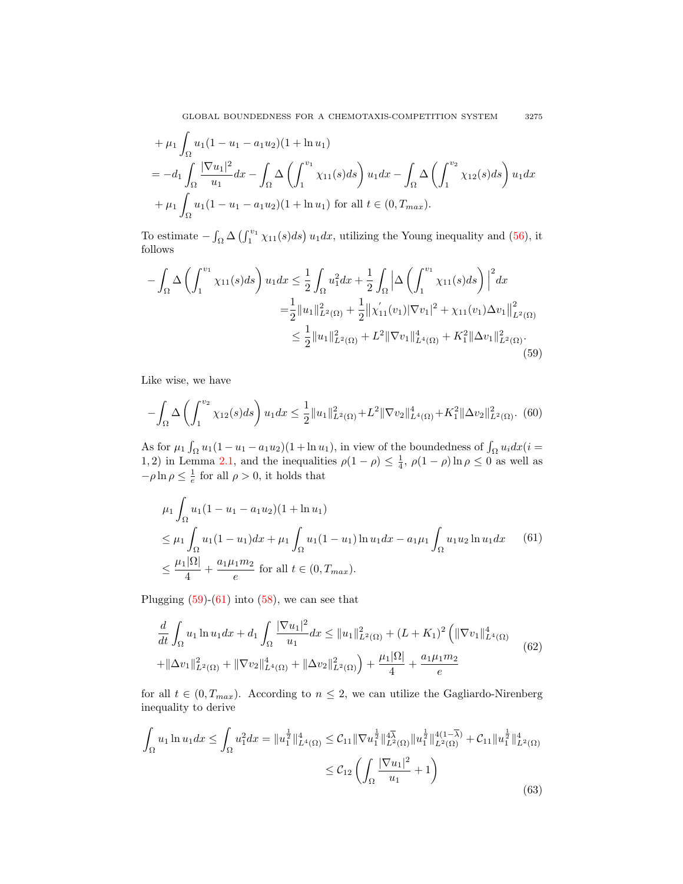GLOBAL BOUNDEDNESS FOR A CHEMOTAXIS-COMPETITION SYSTEM 3275

+ 
$$
\mu_1 \int_{\Omega} u_1 (1 - u_1 - a_1 u_2) (1 + \ln u_1)
$$
  
\n=  $-d_1 \int_{\Omega} \frac{|\nabla u_1|^2}{u_1} dx - \int_{\Omega} \Delta \left( \int_1^{v_1} \chi_{11}(s) ds \right) u_1 dx - \int_{\Omega} \Delta \left( \int_1^{v_2} \chi_{12}(s) ds \right) u_1 dx$   
\n+  $\mu_1 \int_{\Omega} u_1 (1 - u_1 - a_1 u_2) (1 + \ln u_1)$  for all  $t \in (0, T_{max})$ .

To estimate  $-\int_{\Omega} \Delta \left(\int_1^{v_1} \chi_{11}(s)ds\right) u_1 dx$ , utilizing the Young inequality and [\(56\)](#page-13-2), it follows

<span id="page-14-0"></span>
$$
-\int_{\Omega} \Delta \left( \int_{1}^{v_1} \chi_{11}(s)ds \right) u_1 dx \leq \frac{1}{2} \int_{\Omega} u_1^2 dx + \frac{1}{2} \int_{\Omega} \left| \Delta \left( \int_{1}^{v_1} \chi_{11}(s)ds \right) \right|^2 dx
$$
  

$$
= \frac{1}{2} ||u_1||_{L^2(\Omega)}^2 + \frac{1}{2} ||\chi'_{11}(v_1)| \nabla v_1|^2 + \chi_{11}(v_1) \Delta v_1 ||_{L^2(\Omega)}^2
$$
  

$$
\leq \frac{1}{2} ||u_1||_{L^2(\Omega)}^2 + L^2 ||\nabla v_1||_{L^4(\Omega)}^4 + K_1^2 ||\Delta v_1||_{L^2(\Omega)}^2.
$$
  
(59)

Like wise, we have

$$
-\int_{\Omega} \Delta \left(\int_1^{v_2} \chi_{12}(s)ds\right) u_1 dx \le \frac{1}{2} \|u_1\|_{L^2(\Omega)}^2 + L^2 \|\nabla v_2\|_{L^4(\Omega)}^4 + K_1^2 \|\Delta v_2\|_{L^2(\Omega)}^2. \tag{60}
$$

As for  $\mu_1 \int_{\Omega} u_1(1-u_1-a_1u_2)(1+\ln u_1)$ , in view of the boundedness of  $\int_{\Omega} u_i dx$  (*i* = 1, 2) in Lemma [2.1,](#page-2-0) and the inequalities  $\rho(1-\rho) \leq \frac{1}{4}$ ,  $\rho(1-\rho)\ln\rho \leq 0$  as well as  $-\rho \ln \rho \leq \frac{1}{e}$  for all  $\rho > 0$ , it holds that

<span id="page-14-1"></span>
$$
\mu_1 \int_{\Omega} u_1 (1 - u_1 - a_1 u_2)(1 + \ln u_1)
$$
  
\n
$$
\leq \mu_1 \int_{\Omega} u_1 (1 - u_1) dx + \mu_1 \int_{\Omega} u_1 (1 - u_1) \ln u_1 dx - a_1 \mu_1 \int_{\Omega} u_1 u_2 \ln u_1 dx \qquad (61)
$$
  
\n
$$
\leq \frac{\mu_1 |\Omega|}{4} + \frac{a_1 \mu_1 m_2}{e} \text{ for all } t \in (0, T_{max}).
$$

Plugging  $(59)-(61)$  $(59)-(61)$  $(59)-(61)$  into  $(58)$ , we can see that

<span id="page-14-2"></span>
$$
\frac{d}{dt} \int_{\Omega} u_1 \ln u_1 dx + d_1 \int_{\Omega} \frac{|\nabla u_1|^2}{u_1} dx \le ||u_1||_{L^2(\Omega)}^2 + (L + K_1)^2 \left( \|\nabla v_1\|_{L^4(\Omega)}^4 + \|\Delta v_1\|_{L^2(\Omega)}^2 + \|\nabla v_2\|_{L^4(\Omega)}^4 + \|\Delta v_2\|_{L^2(\Omega)}^2 \right) + \frac{\mu_1 |\Omega|}{4} + \frac{a_1 \mu_1 m_2}{e} \tag{62}
$$

for all  $t \in (0, T_{max})$ . According to  $n \leq 2$ , we can utilize the Gagliardo-Nirenberg inequality to derive

<span id="page-14-3"></span>
$$
\int_{\Omega} u_1 \ln u_1 dx \le \int_{\Omega} u_1^2 dx = \|u_1^{\frac{1}{2}}\|_{L^4(\Omega)}^4 \le C_{11} \|\nabla u_1^{\frac{1}{2}}\|_{L^2(\Omega)}^{4\overline{\lambda}} \|u_1^{\frac{1}{2}}\|_{L^2(\Omega)}^{4(1-\overline{\lambda})} + C_{11} \|u_1^{\frac{1}{2}}\|_{L^2(\Omega)}^{4}
$$
  

$$
\le C_{12} \left( \int_{\Omega} \frac{|\nabla u_1|^2}{u_1} + 1 \right)
$$
(63)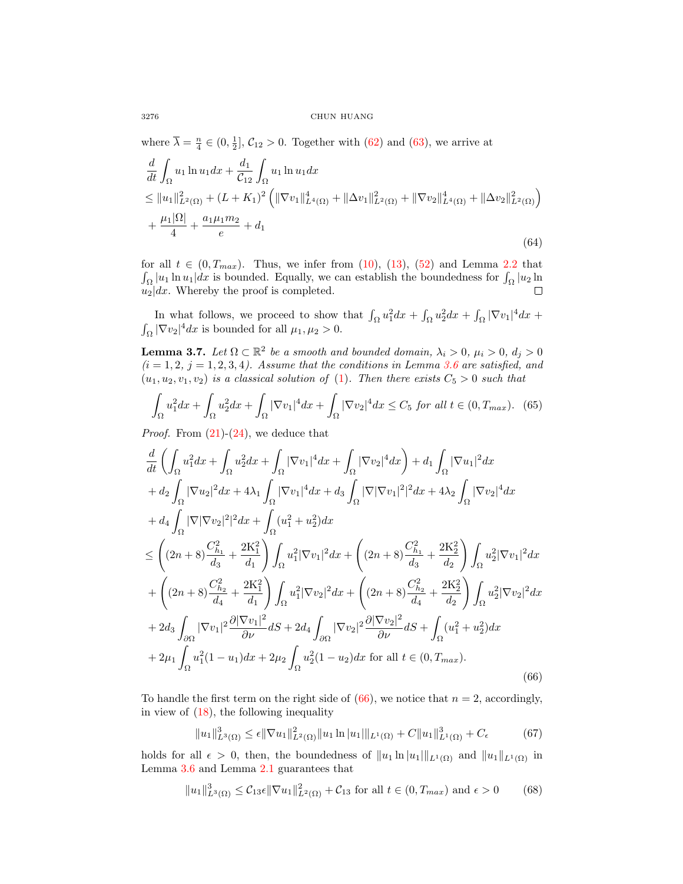where  $\overline{\lambda} = \frac{n}{4} \in (0, \frac{1}{2}], C_{12} > 0$ . Together with [\(62\)](#page-14-2) and [\(63\)](#page-14-3), we arrive at

$$
\frac{d}{dt} \int_{\Omega} u_1 \ln u_1 dx + \frac{d_1}{C_{12}} \int_{\Omega} u_1 \ln u_1 dx \n\leq \|u_1\|_{L^2(\Omega)}^2 + (L + K_1)^2 \left( \|\nabla v_1\|_{L^4(\Omega)}^4 + \|\Delta v_1\|_{L^2(\Omega)}^2 + \|\nabla v_2\|_{L^4(\Omega)}^4 + \|\Delta v_2\|_{L^2(\Omega)}^2 \right) \n+ \frac{\mu_1 |\Omega|}{4} + \frac{a_1 \mu_1 m_2}{e} + d_1
$$
\n(64)

for all  $t \in (0, T_{max})$ . Thus, we infer from  $(10)$ ,  $(13)$ ,  $(52)$  and Lemma [2.2](#page-3-2) that  $\int_{\Omega} |u_1| \ln u_1| dx$  is bounded. Equally, we can establish the boundedness for  $\int_{\Omega} |u_2| \ln u_1$  $u_2|dx$ . Whereby the proof is completed. П

In what follows, we proceed to show that  $\int_{\Omega} u_1^2 dx + \int_{\Omega} u_2^2 dx + \int_{\Omega} |\nabla v_1|^4 dx +$  $\int_{\Omega} |\nabla v_2|^4 dx$  is bounded for all  $\mu_1, \mu_2 > 0$ .

<span id="page-15-4"></span>**Lemma 3.7.** Let  $\Omega \subset \mathbb{R}^2$  be a smooth and bounded domain,  $\lambda_i > 0$ ,  $\mu_i > 0$ ,  $d_j > 0$  $(i = 1, 2, j = 1, 2, 3, 4)$ . Assume that the conditions in Lemma [3.6](#page-13-4) are satisfied, and  $(u_1, u_2, v_1, v_2)$  is a classical solution of [\(1\)](#page-0-0). Then there exists  $C_5 > 0$  such that

<span id="page-15-3"></span>
$$
\int_{\Omega} u_1^2 dx + \int_{\Omega} u_2^2 dx + \int_{\Omega} |\nabla v_1|^4 dx + \int_{\Omega} |\nabla v_2|^4 dx \le C_5 \text{ for all } t \in (0, T_{\text{max}}). \tag{65}
$$

*Proof.* From  $(21)-(24)$  $(21)-(24)$  $(21)-(24)$ , we deduce that

<span id="page-15-0"></span>
$$
\frac{d}{dt} \left( \int_{\Omega} u_1^2 dx + \int_{\Omega} u_2^2 dx + \int_{\Omega} |\nabla v_1|^4 dx + \int_{\Omega} |\nabla v_2|^4 dx \right) + d_1 \int_{\Omega} |\nabla u_1|^2 dx \n+ d_2 \int_{\Omega} |\nabla u_2|^2 dx + 4\lambda_1 \int_{\Omega} |\nabla v_1|^4 dx + d_3 \int_{\Omega} |\nabla |\nabla v_1|^2|^2 dx + 4\lambda_2 \int_{\Omega} |\nabla v_2|^4 dx \n+ d_4 \int_{\Omega} |\nabla |\nabla v_2|^2|^2 dx + \int_{\Omega} (u_1^2 + u_2^2) dx \n\leq \left( (2n+8) \frac{C_{h_1}^2}{d_3} + \frac{2\mathcal{K}_1^2}{d_1} \right) \int_{\Omega} u_1^2 |\nabla v_1|^2 dx + \left( (2n+8) \frac{C_{h_1}^2}{d_3} + \frac{2\mathcal{K}_2^2}{d_2} \right) \int_{\Omega} u_2^2 |\nabla v_1|^2 dx \n+ \left( (2n+8) \frac{C_{h_2}^2}{d_4} + \frac{2\mathcal{K}_1^2}{d_1} \right) \int_{\Omega} u_1^2 |\nabla v_2|^2 dx + \left( (2n+8) \frac{C_{h_2}^2}{d_4} + \frac{2\mathcal{K}_2^2}{d_2} \right) \int_{\Omega} u_2^2 |\nabla v_2|^2 dx \n+ 2d_3 \int_{\partial\Omega} |\nabla v_1|^2 \frac{\partial |\nabla v_1|^2}{\partial \nu} dS + 2d_4 \int_{\partial\Omega} |\nabla v_2|^2 \frac{\partial |\nabla v_2|^2}{\partial \nu} dS + \int_{\Omega} (u_1^2 + u_2^2) dx \n+ 2\mu_1 \int_{\Omega} u_1^2 (1 - u_1) dx + 2\mu_2 \int_{\Omega} u_2^2 (1 - u_2) dx \text{ for all } t \in (0, T_{max}).
$$
\n(66)

To handle the first term on the right side of  $(66)$ , we notice that  $n = 2$ , accordingly, in view of  $(18)$ , the following inequality

<span id="page-15-1"></span>
$$
||u_1||_{L^3(\Omega)}^3 \le \epsilon ||\nabla u_1||_{L^2(\Omega)}^2 ||u_1 \ln |u_1||_{L^1(\Omega)} + C ||u_1||_{L^1(\Omega)}^3 + C_{\epsilon}
$$
 (67)

holds for all  $\epsilon > 0$ , then, the boundedness of  $||u_1 \ln |u_1||_{L^1(\Omega)}$  and  $||u_1||_{L^1(\Omega)}$  in Lemma [3.6](#page-13-4) and Lemma [2.1](#page-2-0) guarantees that

<span id="page-15-2"></span>
$$
||u_1||_{L^3(\Omega)}^3 \le C_{13}\epsilon ||\nabla u_1||_{L^2(\Omega)}^2 + C_{13} \text{ for all } t \in (0, T_{max}) \text{ and } \epsilon > 0 \tag{68}
$$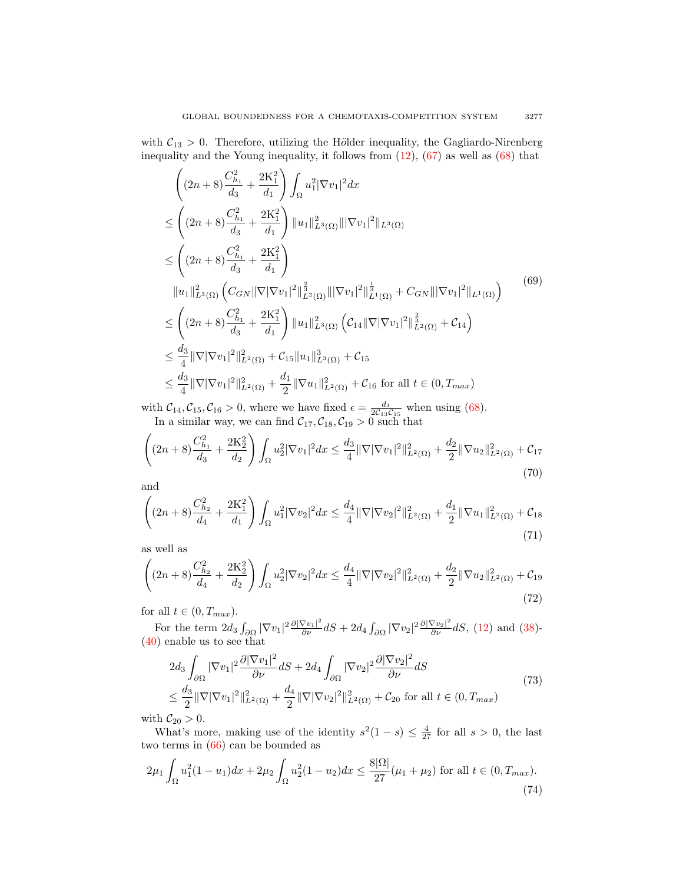with  $C_{13} > 0$ . Therefore, utilizing the Hölder inequality, the Gagliardo-Nirenberg inequality and the Young inequality, it follows from  $(12)$ ,  $(67)$  as well as  $(68)$  that

<span id="page-16-0"></span>
$$
\begin{split}\n&\left((2n+8)\frac{C_{h_1}^2}{d_3} + \frac{2K_1^2}{d_1}\right) \int_{\Omega} u_1^2 |\nabla v_1|^2 dx \\
&\leq \left((2n+8)\frac{C_{h_1}^2}{d_3} + \frac{2K_1^2}{d_1}\right) ||u_1||_{L^3(\Omega)}^2 |||\nabla v_1|^2||_{L^3(\Omega)} \\
&\leq \left((2n+8)\frac{C_{h_1}^2}{d_3} + \frac{2K_1^2}{d_1}\right) \\
&\|u_1\|_{L^3(\Omega)}^2 \left(C_{GN} ||\nabla |\nabla v_1|^2||_{L^2(\Omega)}^{\frac{2}{3}} |||\nabla v_1|^2||_{L^1(\Omega)}^{\frac{1}{3}} + C_{GN} |||\nabla v_1|^2||_{L^1(\Omega)}\right)\n\end{split} \tag{69}
$$
\n
$$
\leq \left((2n+8)\frac{C_{h_1}^2}{d_3} + \frac{2K_1^2}{d_1}\right) ||u_1||_{L^3(\Omega)}^2 \left(C_{14} ||\nabla |\nabla v_1|^2||_{L^2(\Omega)}^{\frac{2}{3}} + C_{14}\right)
$$
\n
$$
\leq \frac{d_3}{4} ||\nabla |\nabla v_1|^2||_{L^2(\Omega)}^2 + C_{15} ||u_1||_{L^3(\Omega)}^3 + C_{15}\n\leq \frac{d_3}{4} ||\nabla |\nabla v_1|^2||_{L^2(\Omega)}^2 + \frac{d_1}{2} ||\nabla u_1||_{L^2(\Omega)}^2 + C_{16} \text{ for all } t \in (0, T_{max})\n\end{split}
$$

with  $C_{14}$ ,  $C_{15}$ ,  $C_{16} > 0$ , where we have fixed  $\epsilon = \frac{d_1}{2C_{13}C_{15}}$  when using [\(68\)](#page-15-2). In a similar way, we can find  $C_{17}, C_{18}, C_{19} > 0$  such that

$$
\left( (2n+8)\frac{C_{h_1}^2}{d_3} + \frac{2K_2^2}{d_2} \right) \int_{\Omega} u_2^2 |\nabla v_1|^2 dx \le \frac{d_3}{4} \|\nabla |\nabla v_1|^2 \|_{L^2(\Omega)}^2 + \frac{d_2}{2} \|\nabla u_2\|_{L^2(\Omega)}^2 + C_{17}
$$
\n
$$
(70)
$$

and

$$
\left( (2n+8)\frac{C_{h_2}^2}{d_4} + \frac{2K_1^2}{d_1} \right) \int_{\Omega} u_1^2 |\nabla v_2|^2 dx \le \frac{d_4}{4} \|\nabla |\nabla v_2|^2 \|_{L^2(\Omega)}^2 + \frac{d_1}{2} \|\nabla u_1\|_{L^2(\Omega)}^2 + C_{18} \tag{71}
$$

as well as

$$
\left( (2n+8)\frac{C_{h_2}^2}{d_4} + \frac{2K_2^2}{d_2} \right) \int_{\Omega} u_2^2 |\nabla v_2|^2 dx \le \frac{d_4}{4} \|\nabla |\nabla v_2|^2 \|_{L^2(\Omega)}^2 + \frac{d_2}{2} \|\nabla u_2\|_{L^2(\Omega)}^2 + C_{19} \tag{72}
$$

for all  $t \in (0, T_{max})$ .

For the term  $2d_3 \int_{\partial \Omega} |\nabla v_1|^2 \frac{\partial |\nabla v_1|^2}{\partial \nu} dS + 2d_4 \int_{\partial \Omega} |\nabla v_2|^2 \frac{\partial |\nabla v_2|^2}{\partial \nu} dS$ , [\(12\)](#page-3-3) and [\(38\)](#page-10-0)-[\(40\)](#page-10-1) enable us to see that

$$
2d_3 \int_{\partial \Omega} |\nabla v_1|^2 \frac{\partial |\nabla v_1|^2}{\partial \nu} dS + 2d_4 \int_{\partial \Omega} |\nabla v_2|^2 \frac{\partial |\nabla v_2|^2}{\partial \nu} dS
$$
  
\n
$$
\leq \frac{d_3}{2} ||\nabla |\nabla v_1|^2 ||_{L^2(\Omega)}^2 + \frac{d_4}{2} ||\nabla |\nabla v_2|^2 ||_{L^2(\Omega)}^2 + C_{20} \text{ for all } t \in (0, T_{max})
$$
\n(73)

with  $\mathcal{C}_{20} > 0$ .

What's more, making use of the identity  $s^2(1-s) \leq \frac{4}{27}$  for all  $s > 0$ , the last two terms in [\(66\)](#page-15-0) can be bounded as

<span id="page-16-1"></span>
$$
2\mu_1 \int_{\Omega} u_1^2 (1 - u_1) dx + 2\mu_2 \int_{\Omega} u_2^2 (1 - u_2) dx \le \frac{8|\Omega|}{27} (\mu_1 + \mu_2)
$$
 for all  $t \in (0, T_{max}).$  (74)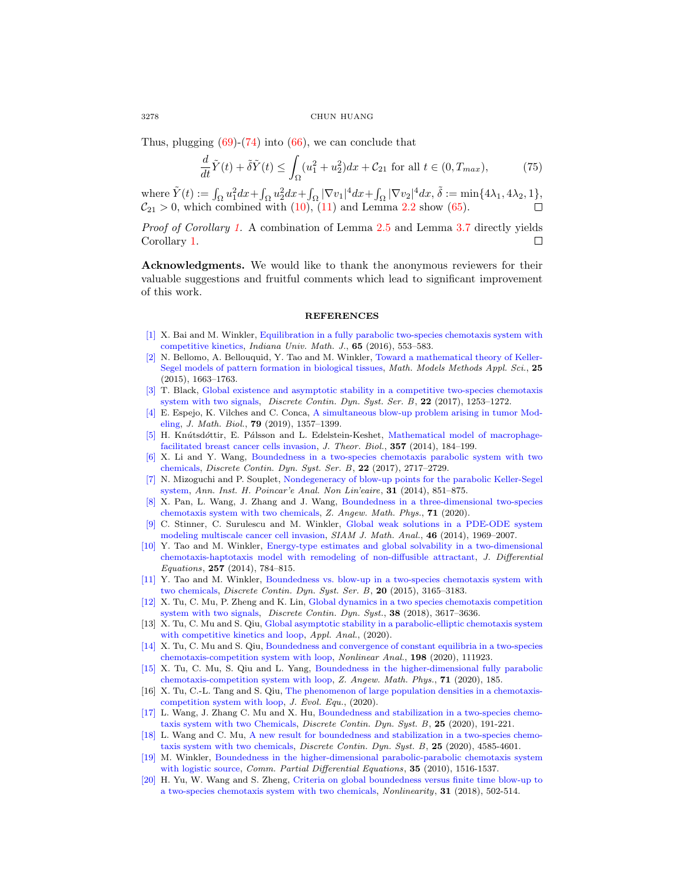Thus, plugging  $(69)-(74)$  $(69)-(74)$  $(69)-(74)$  into  $(66)$ , we can conclude that

$$
\frac{d}{dt}\tilde{Y}(t) + \tilde{\delta}\tilde{Y}(t) \le \int_{\Omega} (u_1^2 + u_2^2) dx + C_{21} \text{ for all } t \in (0, T_{max}),\tag{75}
$$

where  $\tilde{Y}(t) := \int_{\Omega} u_1^2 dx + \int_{\Omega} u_2^2 dx + \int_{\Omega} |\nabla v_1|^4 dx + \int_{\Omega} |\nabla v_2|^4 dx$ ,  $\tilde{\delta} := \min\{4\lambda_1, 4\lambda_2, 1\}$ ,  $C_{21} > 0$ , which combined with  $(10)$ ,  $(11)$  and Lemma [2.2](#page-3-2) show  $(65)$ .

Proof of Corollary [1.](#page-2-1) A combination of Lemma [2.5](#page-5-5) and Lemma [3.7](#page-15-4) directly yields Corollary [1.](#page-2-1)  $\Box$ 

Acknowledgments. We would like to thank the anonymous reviewers for their valuable suggestions and fruitful comments which lead to significant improvement of this work.

## **REFERENCES**

- <span id="page-17-16"></span>[\[1\]](http://www.ams.org/mathscinet-getitem?mr=MR3498177&return=pdf) X. Bai and M. Winkler, [Equilibration in a fully parabolic two-species chemotaxis system with](http://dx.doi.org/10.1512/iumj.2016.65.5776) [competitive kinetics,](http://dx.doi.org/10.1512/iumj.2016.65.5776) Indiana Univ. Math. J., 65 (2016), 553–583.
- <span id="page-17-19"></span>[\[2\]](http://www.ams.org/mathscinet-getitem?mr=MR3351175&return=pdf) N. Bellomo, A. Bellouquid, Y. Tao and M. Winkler, [Toward a mathematical theory of Keller-](http://dx.doi.org/10.1142/S021820251550044X)[Segel models of pattern formation in biological tissues,](http://dx.doi.org/10.1142/S021820251550044X) Math. Models Methods Appl. Sci., 25 (2015), 1663–1763.
- <span id="page-17-5"></span>[\[3\]](http://www.ams.org/mathscinet-getitem?mr=MR3639164&return=pdf) T. Black, [Global existence and asymptotic stability in a competitive two-species chemotaxis](http://dx.doi.org/10.3934/dcdsb.2017061) [system with two signals,](http://dx.doi.org/10.3934/dcdsb.2017061) Discrete Contin. Dyn. Syst. Ser. B, 22 (2017), 1253–1272.
- <span id="page-17-9"></span>[\[4\]](http://www.ams.org/mathscinet-getitem?mr=MR4019927&return=pdf) E. Espejo, K. Vilches and C. Conca, [A simultaneous blow-up problem arising in tumor Mod](http://dx.doi.org/10.1007/s00285-019-01397-6)[eling,](http://dx.doi.org/10.1007/s00285-019-01397-6) J. Math. Biol., 79 (2019), 1357–1399.
- <span id="page-17-0"></span>[\[5\]](http://www.ams.org/mathscinet-getitem?mr=MR3232531&return=pdf) H. Knútsdóttir, E. Pálsson and L. Edelstein-Keshet, [Mathematical model of macrophage](http://dx.doi.org/10.1016/j.jtbi.2014.04.031)[facilitated breast cancer cells invasion,](http://dx.doi.org/10.1016/j.jtbi.2014.04.031) J. Theor. Biol., 357 (2014), 184–199.
- <span id="page-17-2"></span>[\[6\]](http://www.ams.org/mathscinet-getitem?mr=MR3651256&return=pdf) X. Li and Y. Wang, [Boundedness in a two-species chemotaxis parabolic system with two](http://dx.doi.org/10.3934/dcdsb.2017132) [chemicals,](http://dx.doi.org/10.3934/dcdsb.2017132) Discrete Contin. Dyn. Syst. Ser. B, 22 (2017), 2717–2729.
- <span id="page-17-18"></span>[\[7\]](http://www.ams.org/mathscinet-getitem?mr=MR3249815&return=pdf) N. Mizoguchi and P. Souplet, [Nondegeneracy of blow-up points for the parabolic Keller-Segel](http://dx.doi.org/10.1016/j.anihpc.2013.07.007) [system,](http://dx.doi.org/10.1016/j.anihpc.2013.07.007) Ann. Inst. H. Poincar'e Anal. Non Lin'eaire, 31 (2014), 851–875.
- <span id="page-17-6"></span>[\[8\]](http://www.ams.org/mathscinet-getitem?mr=MR4054820&return=pdf) X. Pan, L. Wang, J. Zhang and J. Wang, [Boundedness in a three-dimensional two-species](http://dx.doi.org/10.1007/s00033-020-1248-2) [chemotaxis system with two chemicals,](http://dx.doi.org/10.1007/s00033-020-1248-2) Z. Angew. Math. Phys., 71 (2020).
- <span id="page-17-15"></span>[\[9\]](http://www.ams.org/mathscinet-getitem?mr=MR3216646&return=pdf) C. Stinner, C. Surulescu and M. Winkler, [Global weak solutions in a PDE-ODE system](http://dx.doi.org/10.1137/13094058X) [modeling multiscale cancer cell invasion,](http://dx.doi.org/10.1137/13094058X) SIAM J. Math. Anal., 46 (2014), 1969–2007.
- <span id="page-17-17"></span>[\[10\]](http://www.ams.org/mathscinet-getitem?mr=MR3208091&return=pdf) Y. Tao and M. Winkler, [Energy-type estimates and global solvability in a two-dimensional](http://dx.doi.org/10.1016/j.jde.2014.04.014) [chemotaxis-haptotaxis model with remodeling of non-diffusible attractant,](http://dx.doi.org/10.1016/j.jde.2014.04.014) J. Differential  $Equations, 257 (2014), 784-815.$
- <span id="page-17-3"></span>[\[11\]](http://www.ams.org/mathscinet-getitem?mr=MR3402687&return=pdf) Y. Tao and M. Winkler, [Boundedness vs. blow-up in a two-species chemotaxis system with](http://dx.doi.org/10.3934/dcdsb.2015.20.3165) [two chemicals,](http://dx.doi.org/10.3934/dcdsb.2015.20.3165) Discrete Contin. Dyn. Syst. Ser. B, 20 (2015), 3165–3183.
- <span id="page-17-7"></span>[\[12\]](http://www.ams.org/mathscinet-getitem?mr=MR3809095&return=pdf) X. Tu, C. Mu, P. Zheng and K. Lin, [Global dynamics in a two species chemotaxis competition](http://dx.doi.org/10.3934/dcds.2018156) [system with two signals,](http://dx.doi.org/10.3934/dcds.2018156) *Discrete Contin. Dyn. Syst.*, **38** (2018), 3617–3636.
- <span id="page-17-13"></span>[13] X. Tu, C. Mu and S. Qiu, [Global asymptotic stability in a parabolic-elliptic chemotaxis system](http://dx.doi.org/10.1080/00036811.2020.1783536) [with competitive kinetics and loop,](http://dx.doi.org/10.1080/00036811.2020.1783536) Appl. Anal., (2020).
- <span id="page-17-10"></span>[\[14\]](http://www.ams.org/mathscinet-getitem?mr=MR4091310&return=pdf) X. Tu, C. Mu and S. Qiu, [Boundedness and convergence of constant equilibria in a two-species](http://dx.doi.org/10.1016/j.na.2020.111923) [chemotaxis-competition system with loop,](http://dx.doi.org/10.1016/j.na.2020.111923) Nonlinear Anal., 198 (2020), 111923.
- <span id="page-17-11"></span>[\[15\]](http://www.ams.org/mathscinet-getitem?mr=MR4161964&return=pdf) X. Tu, C. Mu, S. Qiu and L. Yang, [Boundedness in the higher-dimensional fully parabolic](http://dx.doi.org/10.1007/s00033-020-01413-6) [chemotaxis-competition system with loop,](http://dx.doi.org/10.1007/s00033-020-01413-6) Z. Angew. Math. Phys., 71 (2020), 185.
- <span id="page-17-12"></span>[16] X. Tu, C.-L. Tang and S. Qiu, [The phenomenon of large population densities in a chemotaxis](http://dx.doi.org/10.1007/s00028-020-00650-6)[competition system with loop,](http://dx.doi.org/10.1007/s00028-020-00650-6) J. Evol. Equ., (2020).
- <span id="page-17-1"></span>[\[17\]](http://www.ams.org/mathscinet-getitem?mr=MR4043602&return=pdf) L. Wang, J. Zhang C. Mu and X. Hu, [Boundedness and stabilization in a two-species chemo](http://dx.doi.org/10.3934/dcdsb.2019178)[taxis system with two Chemicals,](http://dx.doi.org/10.3934/dcdsb.2019178) Discrete Contin. Dyn. Syst. B, 25 (2020), 191-221.
- <span id="page-17-8"></span>[\[18\]](http://www.ams.org/mathscinet-getitem?mr=MR4175100&return=pdf) L. Wang and C. Mu, [A new result for boundedness and stabilization in a two-species chemo](http://dx.doi.org/10.3934/dcdsb.2020114)[taxis system with two chemicals,](http://dx.doi.org/10.3934/dcdsb.2020114) Discrete Contin. Dyn. Syst. B, 25 (2020), 4585-4601.
- <span id="page-17-14"></span>[\[19\]](http://www.ams.org/mathscinet-getitem?mr=MR2754053&return=pdf) M. Winkler, [Boundedness in the higher-dimensional parabolic-parabolic chemotaxis system](http://dx.doi.org/10.1080/03605300903473426) [with logistic source,](http://dx.doi.org/10.1080/03605300903473426) Comm. Partial Differential Equations, 35 (2010), 1516-1537.
- <span id="page-17-4"></span>[\[20\]](http://www.ams.org/mathscinet-getitem?mr=MR3755877&return=pdf) H. Yu, W. Wang and S. Zheng, [Criteria on global boundedness versus finite time blow-up to](http://dx.doi.org/10.1088/1361-6544/aa96c9) [a two-species chemotaxis system with two chemicals,](http://dx.doi.org/10.1088/1361-6544/aa96c9) Nonlinearity, 31 (2018), 502-514.